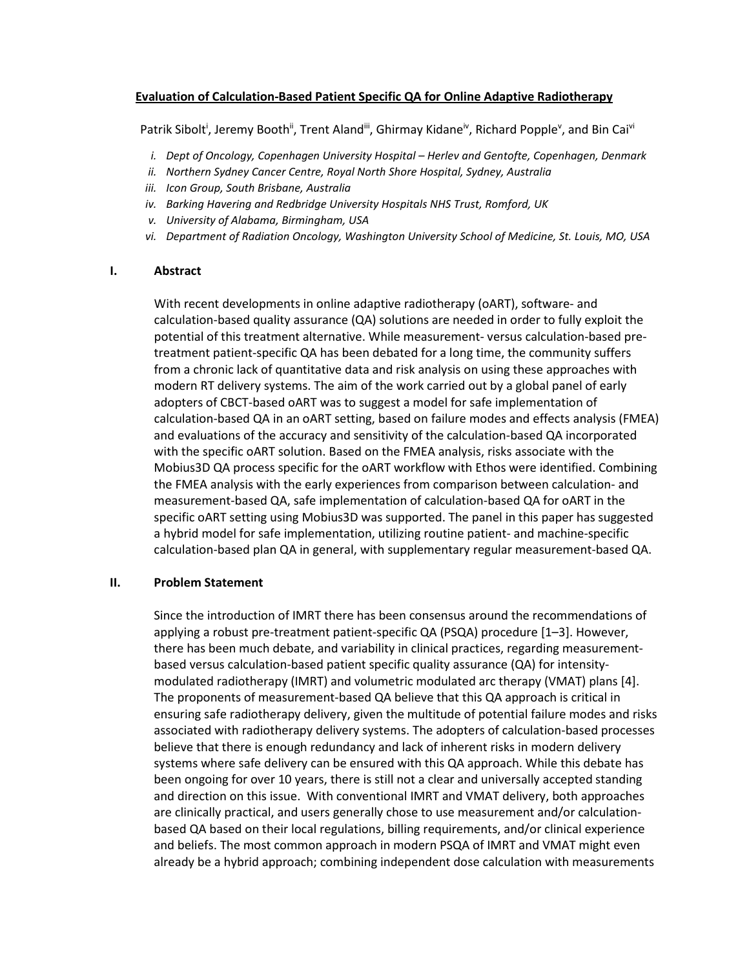## **Evaluation of Calculation-Based Patient Specific QA for Online Adaptive Radiotherapy**

Patrik Sibolt<sup>i</sup>, Jeremy Booth<sup>ii</sup>, Trent Aland<sup>iii</sup>, Ghirmay Kidane<sup>iv</sup>, Richard Popple<sup>v</sup>, and Bin Cai<sup>vi</sup>

- *i. Dept of Oncology, Copenhagen University Hospital – Herlev and Gentofte, Copenhagen, Denmark*
- *ii. Northern Sydney Cancer Centre, Royal North Shore Hospital, Sydney, Australia*
- *iii. Icon Group, South Brisbane, Australia*
- *iv. Barking Havering and Redbridge University Hospitals NHS Trust, Romford, UK*
- *v. University of Alabama, Birmingham, USA*
- *vi. Department of Radiation Oncology, Washington University School of Medicine, St. Louis, MO, USA*

#### **I. Abstract**

With recent developments in online adaptive radiotherapy (oART), software- and calculation-based quality assurance (QA) solutions are needed in order to fully exploit the potential of this treatment alternative. While measurement- versus calculation-based pretreatment patient-specific QA has been debated for a long time, the community suffers from a chronic lack of quantitative data and risk analysis on using these approaches with modern RT delivery systems. The aim of the work carried out by a global panel of early adopters of CBCT-based oART was to suggest a model for safe implementation of calculation-based QA in an oART setting, based on failure modes and effects analysis (FMEA) and evaluations of the accuracy and sensitivity of the calculation-based QA incorporated with the specific oART solution. Based on the FMEA analysis, risks associate with the Mobius3D QA process specific for the oART workflow with Ethos were identified. Combining the FMEA analysis with the early experiences from comparison between calculation- and measurement-based QA, safe implementation of calculation-based QA for oART in the specific oART setting using Mobius3D was supported. The panel in this paper has suggested a hybrid model for safe implementation, utilizing routine patient- and machine-specific calculation-based plan QA in general, with supplementary regular measurement-based QA.

### **II. Problem Statement**

Since the introduction of IMRT there has been consensus around the recommendations of applying a robust pre-treatment patient-specific QA (PSQA) procedure [1–3]. However, there has been much debate, and variability in clinical practices, regarding measurementbased versus calculation-based patient specific quality assurance (QA) for intensitymodulated radiotherapy (IMRT) and volumetric modulated arc therapy (VMAT) plans [4]. The proponents of measurement-based QA believe that this QA approach is critical in ensuring safe radiotherapy delivery, given the multitude of potential failure modes and risks associated with radiotherapy delivery systems. The adopters of calculation-based processes believe that there is enough redundancy and lack of inherent risks in modern delivery systems where safe delivery can be ensured with this QA approach. While this debate has been ongoing for over 10 years, there is still not a clear and universally accepted standing and direction on this issue. With conventional IMRT and VMAT delivery, both approaches are clinically practical, and users generally chose to use measurement and/or calculationbased QA based on their local regulations, billing requirements, and/or clinical experience and beliefs. The most common approach in modern PSQA of IMRT and VMAT might even already be a hybrid approach; combining independent dose calculation with measurements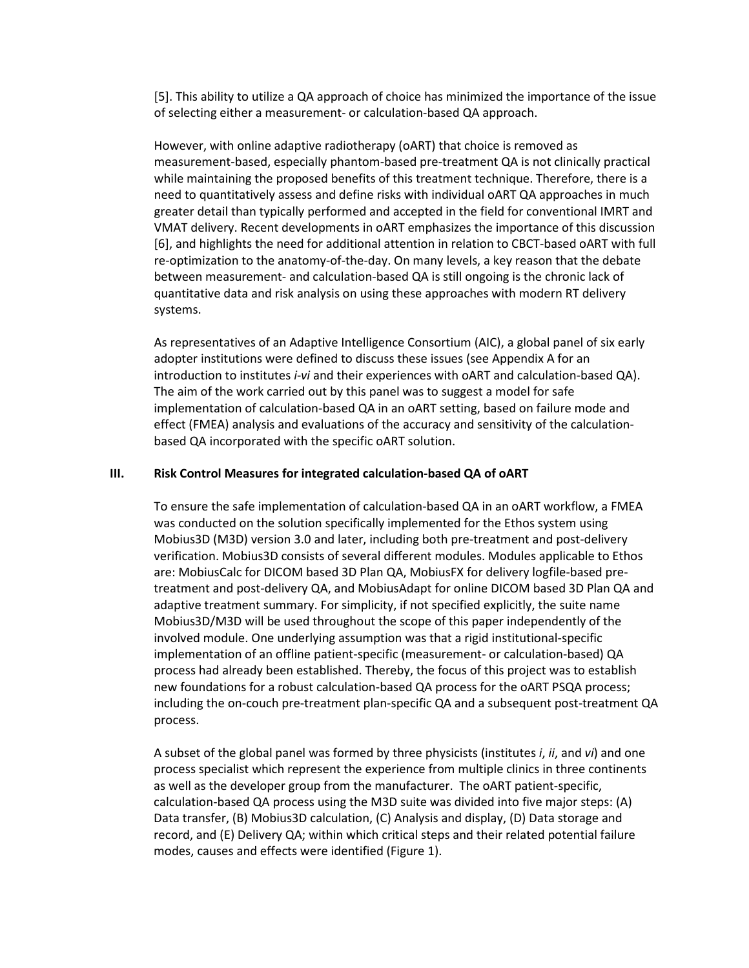[5]. This ability to utilize a QA approach of choice has minimized the importance of the issue of selecting either a measurement- or calculation-based QA approach.

However, with online adaptive radiotherapy (oART) that choice is removed as measurement-based, especially phantom-based pre-treatment QA is not clinically practical while maintaining the proposed benefits of this treatment technique. Therefore, there is a need to quantitatively assess and define risks with individual oART QA approaches in much greater detail than typically performed and accepted in the field for conventional IMRT and VMAT delivery. Recent developments in oART emphasizes the importance of this discussion [6], and highlights the need for additional attention in relation to CBCT-based oART with full re-optimization to the anatomy-of-the-day. On many levels, a key reason that the debate between measurement- and calculation-based QA is still ongoing is the chronic lack of quantitative data and risk analysis on using these approaches with modern RT delivery systems.

As representatives of an Adaptive Intelligence Consortium (AIC), a global panel of six early adopter institutions were defined to discuss these issues (see Appendix A for an introduction to institutes *i*-*vi* and their experiences with oART and calculation-based QA). The aim of the work carried out by this panel was to suggest a model for safe implementation of calculation-based QA in an oART setting, based on failure mode and effect (FMEA) analysis and evaluations of the accuracy and sensitivity of the calculationbased QA incorporated with the specific oART solution.

#### **III. Risk Control Measures for integrated calculation-based QA of oART**

To ensure the safe implementation of calculation-based QA in an oART workflow, a FMEA was conducted on the solution specifically implemented for the Ethos system using Mobius3D (M3D) version 3.0 and later, including both pre-treatment and post-delivery verification. Mobius3D consists of several different modules. Modules applicable to Ethos are: MobiusCalc for DICOM based 3D Plan QA, MobiusFX for delivery logfile-based pretreatment and post-delivery QA, and MobiusAdapt for online DICOM based 3D Plan QA and adaptive treatment summary. For simplicity, if not specified explicitly, the suite name Mobius3D/M3D will be used throughout the scope of this paper independently of the involved module. One underlying assumption was that a rigid institutional-specific implementation of an offline patient-specific (measurement- or calculation-based) QA process had already been established. Thereby, the focus of this project was to establish new foundations for a robust calculation-based QA process for the oART PSQA process; including the on-couch pre-treatment plan-specific QA and a subsequent post-treatment QA process.

A subset of the global panel was formed by three physicists (institutes *i*, *ii*, and *vi*) and one process specialist which represent the experience from multiple clinics in three continents as well as the developer group from the manufacturer. The oART patient-specific, calculation-based QA process using the M3D suite was divided into five major steps: (A) Data transfer, (B) Mobius3D calculation, (C) Analysis and display, (D) Data storage and record, and (E) Delivery QA; within which critical steps and their related potential failure modes, causes and effects were identified [\(Figure 1\)](#page-2-0).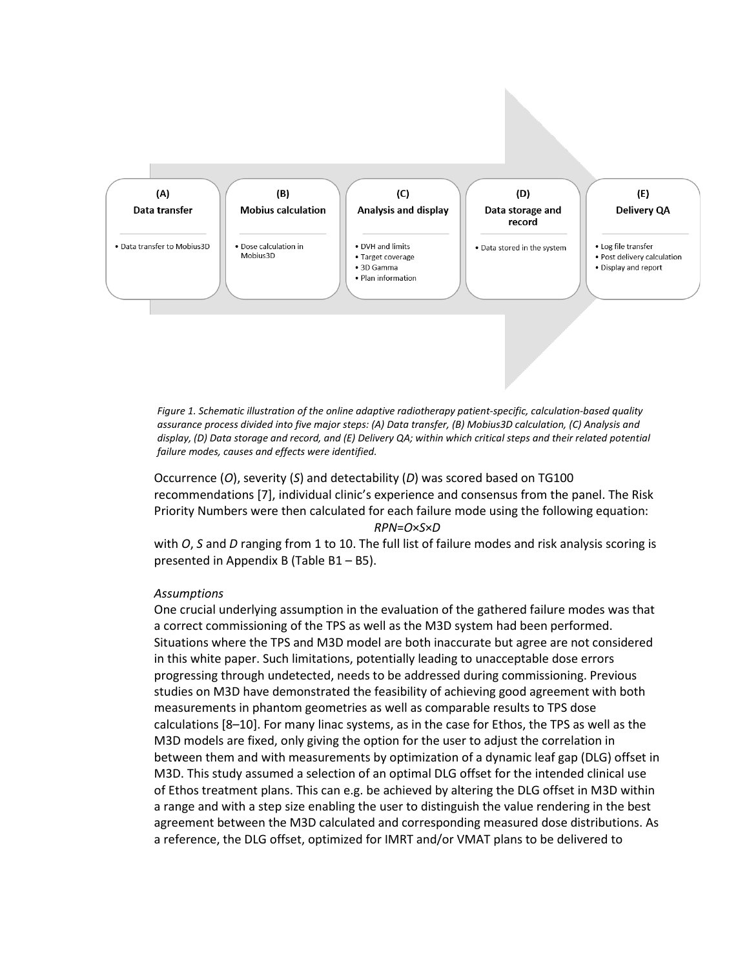

<span id="page-2-0"></span>*Figure 1. Schematic illustration of the online adaptive radiotherapy patient-specific, calculation-based quality assurance process divided into five major steps: (A) Data transfer, (B) Mobius3D calculation, (C) Analysis and display, (D) Data storage and record, and (E) Delivery QA; within which critical steps and their related potential failure modes, causes and effects were identified.*

Occurrence (*O*), severity (*S*) and detectability (*D*) was scored based on TG100 recommendations [7], individual clinic's experience and consensus from the panel. The Risk Priority Numbers were then calculated for each failure mode using the following equation: *RPN*=*O*×*S*×*D*

with *O*, *S* and *D* ranging from 1 to 10. The full list of failure modes and risk analysis scoring is presented in Appendix B [\(Table B1](#page-20-0) – [B5\)](#page-23-0).

### *Assumptions*

One crucial underlying assumption in the evaluation of the gathered failure modes was that a correct commissioning of the TPS as well as the M3D system had been performed. Situations where the TPS and M3D model are both inaccurate but agree are not considered in this white paper. Such limitations, potentially leading to unacceptable dose errors progressing through undetected, needs to be addressed during commissioning. Previous studies on M3D have demonstrated the feasibility of achieving good agreement with both measurements in phantom geometries as well as comparable results to TPS dose calculations [8–10]. For many linac systems, as in the case for Ethos, the TPS as well as the M3D models are fixed, only giving the option for the user to adjust the correlation in between them and with measurements by optimization of a dynamic leaf gap (DLG) offset in M3D. This study assumed a selection of an optimal DLG offset for the intended clinical use of Ethos treatment plans. This can e.g. be achieved by altering the DLG offset in M3D within a range and with a step size enabling the user to distinguish the value rendering in the best agreement between the M3D calculated and corresponding measured dose distributions. As a reference, the DLG offset, optimized for IMRT and/or VMAT plans to be delivered to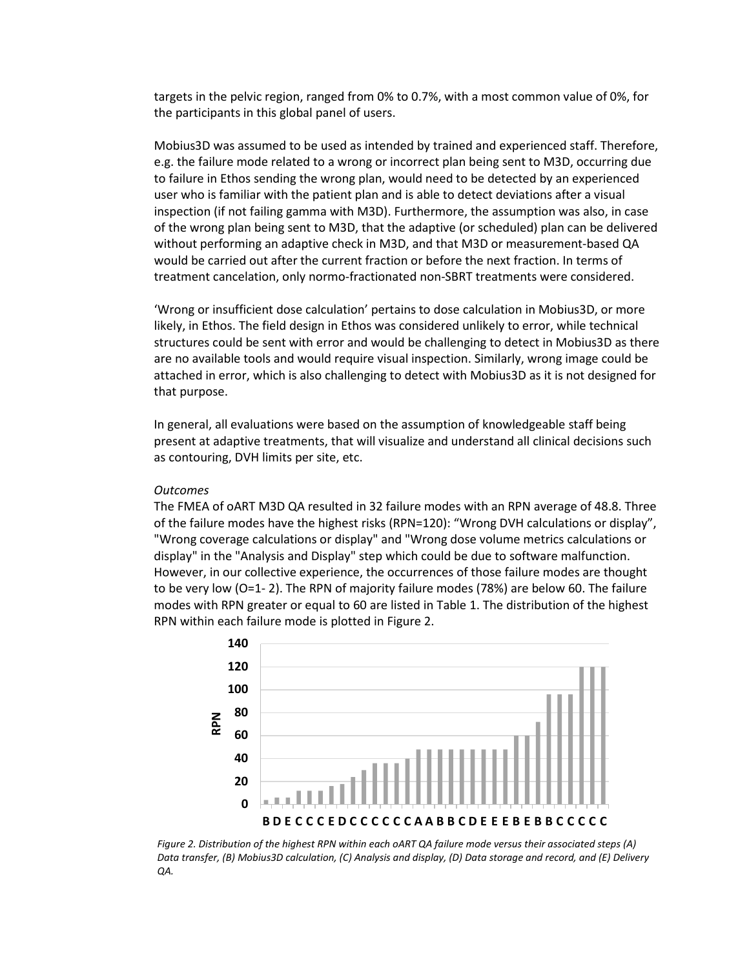targets in the pelvic region, ranged from 0% to 0.7%, with a most common value of 0%, for the participants in this global panel of users.

Mobius3D was assumed to be used as intended by trained and experienced staff. Therefore, e.g. the failure mode related to a wrong or incorrect plan being sent to M3D, occurring due to failure in Ethos sending the wrong plan, would need to be detected by an experienced user who is familiar with the patient plan and is able to detect deviations after a visual inspection (if not failing gamma with M3D). Furthermore, the assumption was also, in case of the wrong plan being sent to M3D, that the adaptive (or scheduled) plan can be delivered without performing an adaptive check in M3D, and that M3D or measurement-based QA would be carried out after the current fraction or before the next fraction. In terms of treatment cancelation, only normo-fractionated non-SBRT treatments were considered.

'Wrong or insufficient dose calculation' pertains to dose calculation in Mobius3D, or more likely, in Ethos. The field design in Ethos was considered unlikely to error, while technical structures could be sent with error and would be challenging to detect in Mobius3D as there are no available tools and would require visual inspection. Similarly, wrong image could be attached in error, which is also challenging to detect with Mobius3D as it is not designed for that purpose.

In general, all evaluations were based on the assumption of knowledgeable staff being present at adaptive treatments, that will visualize and understand all clinical decisions such as contouring, DVH limits per site, etc.

#### *Outcomes*

The FMEA of oART M3D QA resulted in 32 failure modes with an RPN average of 48.8. Three of the failure modes have the highest risks (RPN=120): "Wrong DVH calculations or display", "Wrong coverage calculations or display" and "Wrong dose volume metrics calculations or display" in the "Analysis and Display" step which could be due to software malfunction. However, in our collective experience, the occurrences of those failure modes are thought to be very low (O=1- 2). The RPN of majority failure modes (78%) are below 60. The failure modes with RPN greater or equal to 60 are listed in [Table 1.](#page-4-0) The distribution of the highest RPN within each failure mode is plotted in [Figure 2.](#page-3-0)



<span id="page-3-0"></span>*Figure 2. Distribution of the highest RPN within each oART QA failure mode versus their associated steps (A) Data transfer, (B) Mobius3D calculation, (C) Analysis and display, (D) Data storage and record, and (E) Delivery QA.*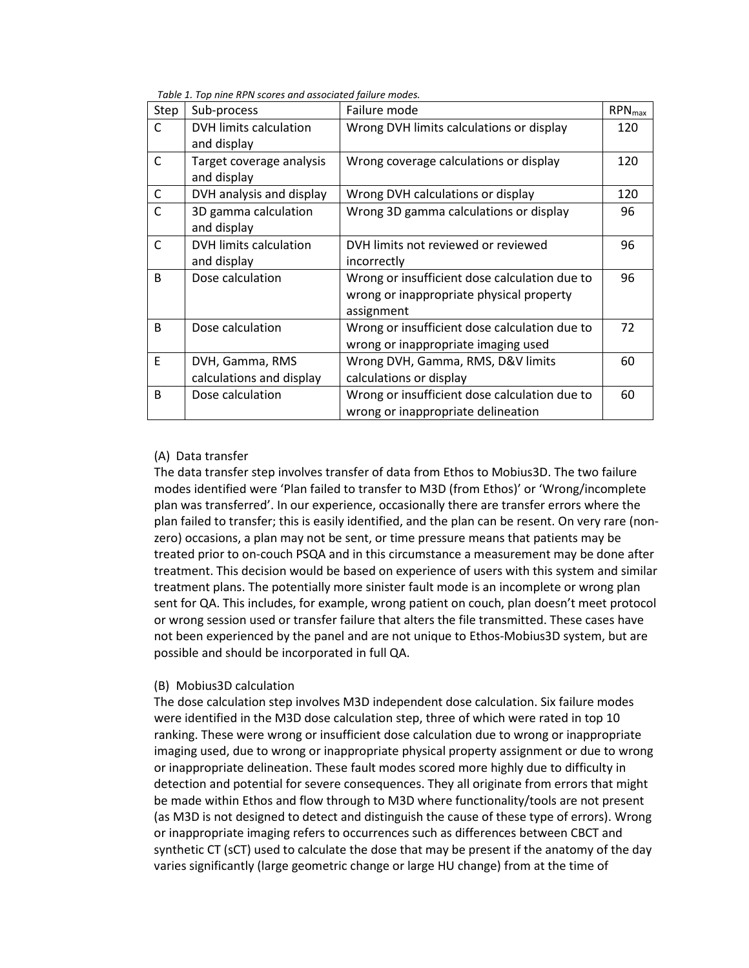<span id="page-4-0"></span>

| Step         | Sub-process                                 | Failure mode                                                                                            | <b>RPN</b> <sub>max</sub> |
|--------------|---------------------------------------------|---------------------------------------------------------------------------------------------------------|---------------------------|
| C            | DVH limits calculation<br>and display       | Wrong DVH limits calculations or display                                                                | 120                       |
| $\mathsf{C}$ | Target coverage analysis<br>and display     | Wrong coverage calculations or display                                                                  | 120                       |
| C            | DVH analysis and display                    | Wrong DVH calculations or display                                                                       | 120                       |
| C            | 3D gamma calculation<br>and display         | Wrong 3D gamma calculations or display                                                                  | 96                        |
| $\mathsf{C}$ | DVH limits calculation<br>and display       | DVH limits not reviewed or reviewed<br>incorrectly                                                      | 96                        |
| B            | Dose calculation                            | Wrong or insufficient dose calculation due to<br>wrong or inappropriate physical property<br>assignment | 96                        |
| B.           | Dose calculation                            | Wrong or insufficient dose calculation due to<br>wrong or inappropriate imaging used                    | 72                        |
| E            | DVH, Gamma, RMS<br>calculations and display | Wrong DVH, Gamma, RMS, D&V limits<br>calculations or display                                            | 60                        |
| B            | Dose calculation                            | Wrong or insufficient dose calculation due to<br>wrong or inappropriate delineation                     | 60                        |

*Table 1. Top nine RPN scores and associated failure modes.*

## (A) Data transfer

The data transfer step involves transfer of data from Ethos to Mobius3D. The two failure modes identified were 'Plan failed to transfer to M3D (from Ethos)' or 'Wrong/incomplete plan was transferred'. In our experience, occasionally there are transfer errors where the plan failed to transfer; this is easily identified, and the plan can be resent. On very rare (nonzero) occasions, a plan may not be sent, or time pressure means that patients may be treated prior to on-couch PSQA and in this circumstance a measurement may be done after treatment. This decision would be based on experience of users with this system and similar treatment plans. The potentially more sinister fault mode is an incomplete or wrong plan sent for QA. This includes, for example, wrong patient on couch, plan doesn't meet protocol or wrong session used or transfer failure that alters the file transmitted. These cases have not been experienced by the panel and are not unique to Ethos-Mobius3D system, but are possible and should be incorporated in full QA.

### (B) Mobius3D calculation

The dose calculation step involves M3D independent dose calculation. Six failure modes were identified in the M3D dose calculation step, three of which were rated in top 10 ranking. These were wrong or insufficient dose calculation due to wrong or inappropriate imaging used, due to wrong or inappropriate physical property assignment or due to wrong or inappropriate delineation. These fault modes scored more highly due to difficulty in detection and potential for severe consequences. They all originate from errors that might be made within Ethos and flow through to M3D where functionality/tools are not present (as M3D is not designed to detect and distinguish the cause of these type of errors). Wrong or inappropriate imaging refers to occurrences such as differences between CBCT and synthetic CT (sCT) used to calculate the dose that may be present if the anatomy of the day varies significantly (large geometric change or large HU change) from at the time of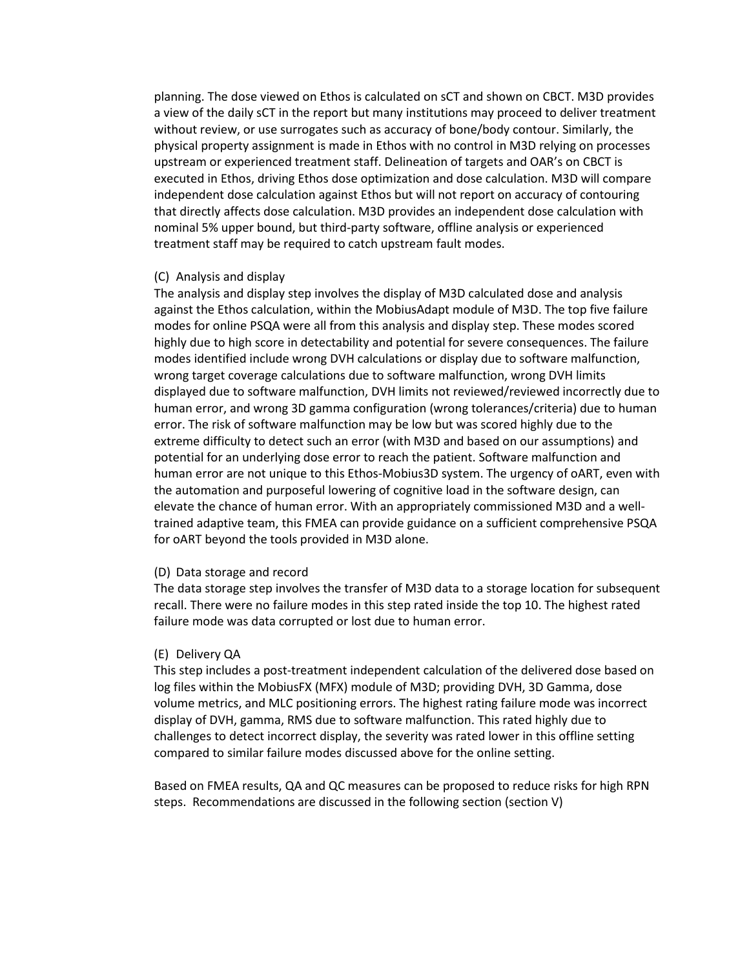planning. The dose viewed on Ethos is calculated on sCT and shown on CBCT. M3D provides a view of the daily sCT in the report but many institutions may proceed to deliver treatment without review, or use surrogates such as accuracy of bone/body contour. Similarly, the physical property assignment is made in Ethos with no control in M3D relying on processes upstream or experienced treatment staff. Delineation of targets and OAR's on CBCT is executed in Ethos, driving Ethos dose optimization and dose calculation. M3D will compare independent dose calculation against Ethos but will not report on accuracy of contouring that directly affects dose calculation. M3D provides an independent dose calculation with nominal 5% upper bound, but third-party software, offline analysis or experienced treatment staff may be required to catch upstream fault modes.

#### (C) Analysis and display

The analysis and display step involves the display of M3D calculated dose and analysis against the Ethos calculation, within the MobiusAdapt module of M3D. The top five failure modes for online PSQA were all from this analysis and display step. These modes scored highly due to high score in detectability and potential for severe consequences. The failure modes identified include wrong DVH calculations or display due to software malfunction, wrong target coverage calculations due to software malfunction, wrong DVH limits displayed due to software malfunction, DVH limits not reviewed/reviewed incorrectly due to human error, and wrong 3D gamma configuration (wrong tolerances/criteria) due to human error. The risk of software malfunction may be low but was scored highly due to the extreme difficulty to detect such an error (with M3D and based on our assumptions) and potential for an underlying dose error to reach the patient. Software malfunction and human error are not unique to this Ethos-Mobius3D system. The urgency of oART, even with the automation and purposeful lowering of cognitive load in the software design, can elevate the chance of human error. With an appropriately commissioned M3D and a welltrained adaptive team, this FMEA can provide guidance on a sufficient comprehensive PSQA for oART beyond the tools provided in M3D alone.

### (D) Data storage and record

The data storage step involves the transfer of M3D data to a storage location for subsequent recall. There were no failure modes in this step rated inside the top 10. The highest rated failure mode was data corrupted or lost due to human error.

### (E) Delivery QA

This step includes a post-treatment independent calculation of the delivered dose based on log files within the MobiusFX (MFX) module of M3D; providing DVH, 3D Gamma, dose volume metrics, and MLC positioning errors. The highest rating failure mode was incorrect display of DVH, gamma, RMS due to software malfunction. This rated highly due to challenges to detect incorrect display, the severity was rated lower in this offline setting compared to similar failure modes discussed above for the online setting.

Based on FMEA results, QA and QC measures can be proposed to reduce risks for high RPN steps. Recommendations are discussed in the following section (section V)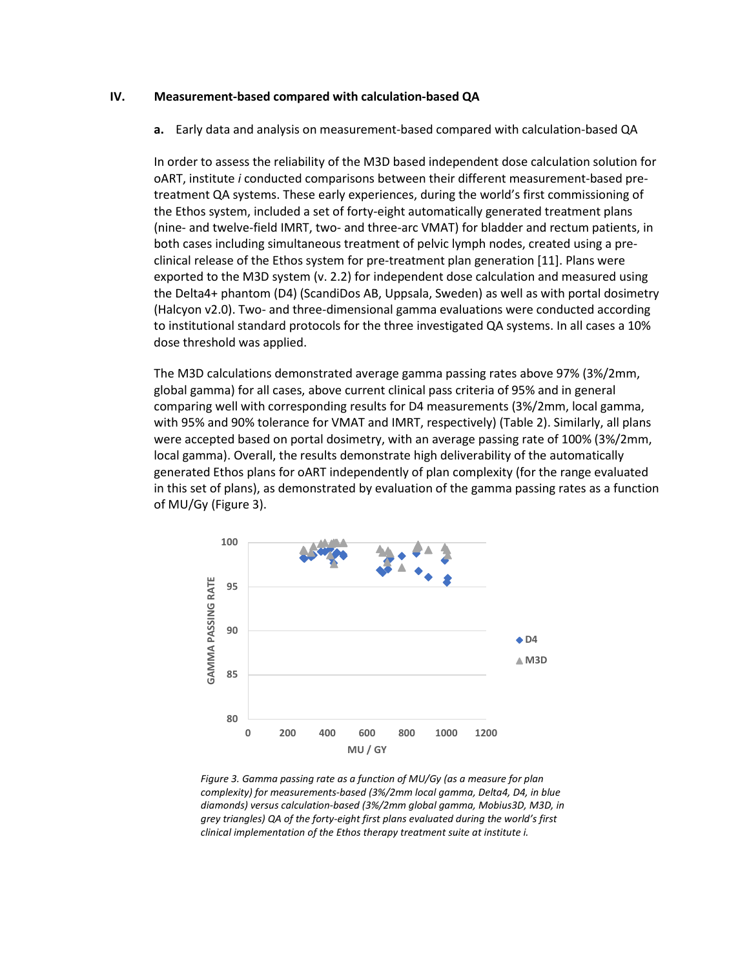#### **IV. Measurement-based compared with calculation-based QA**

**a.** Early data and analysis on measurement-based compared with calculation-based QA

In order to assess the reliability of the M3D based independent dose calculation solution for oART, institute *i* conducted comparisons between their different measurement-based pretreatment QA systems. These early experiences, during the world's first commissioning of the Ethos system, included a set of forty-eight automatically generated treatment plans (nine- and twelve-field IMRT, two- and three-arc VMAT) for bladder and rectum patients, in both cases including simultaneous treatment of pelvic lymph nodes, created using a preclinical release of the Ethos system for pre-treatment plan generation [11]. Plans were exported to the M3D system (v. 2.2) for independent dose calculation and measured using the Delta4+ phantom (D4) (ScandiDos AB, Uppsala, Sweden) as well as with portal dosimetry (Halcyon v2.0). Two- and three-dimensional gamma evaluations were conducted according to institutional standard protocols for the three investigated QA systems. In all cases a 10% dose threshold was applied.

The M3D calculations demonstrated average gamma passing rates above 97% (3%/2mm, global gamma) for all cases, above current clinical pass criteria of 95% and in general comparing well with corresponding results for D4 measurements (3%/2mm, local gamma, with 95% and 90% tolerance for VMAT and IMRT, respectively) [\(Table 2\)](#page-7-0). Similarly, all plans were accepted based on portal dosimetry, with an average passing rate of 100% (3%/2mm, local gamma). Overall, the results demonstrate high deliverability of the automatically generated Ethos plans for oART independently of plan complexity (for the range evaluated in this set of plans), as demonstrated by evaluation of the gamma passing rates as a function of MU/Gy [\(Figure 3\)](#page-6-0).



<span id="page-6-0"></span>*Figure 3. Gamma passing rate as a function of MU/Gy (as a measure for plan complexity) for measurements-based (3%/2mm local gamma, Delta4, D4, in blue diamonds) versus calculation-based (3%/2mm global gamma, Mobius3D, M3D, in grey triangles) QA of the forty-eight first plans evaluated during the world's first clinical implementation of the Ethos therapy treatment suite at institute i.*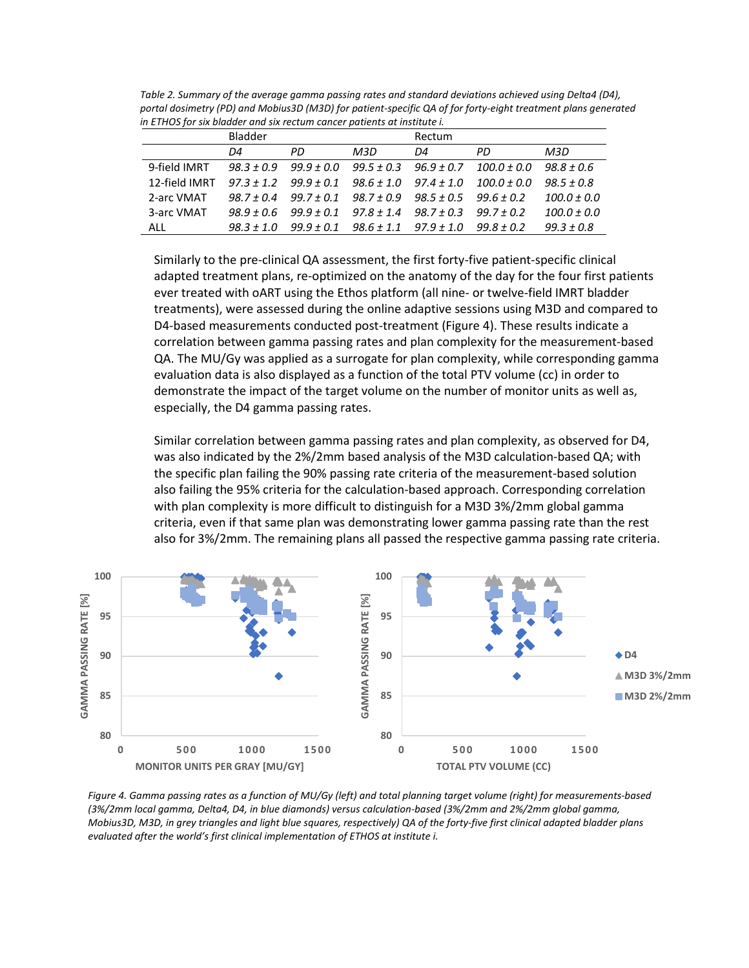<span id="page-7-0"></span>

| Table 2. Summary of the average gamma passing rates and standard deviations achieved using Delta4 (D4),       |
|---------------------------------------------------------------------------------------------------------------|
| portal dosimetry (PD) and Mobius3D (M3D) for patient-specific QA of for forty-eight treatment plans generated |
| in ETHOS for six bladder and six rectum cancer patients at institute i.                                       |

|               | <b>Bladder</b> |                               |                                                             | Rectum     |                 |                 |
|---------------|----------------|-------------------------------|-------------------------------------------------------------|------------|-----------------|-----------------|
|               | D4             | PD.                           | M3D                                                         | D4         | PD.             | M3D             |
| 9-field IMRT  | $98.3 \pm 0.9$ | 99.9 ± 0.0                    | 99.5 ± 0.3                                                  | 96.9 ± 0.7 | $100.0 \pm 0.0$ | $98.8 \pm 0.6$  |
| 12-field IMRT |                | $97.3 \pm 1.2$ $99.9 \pm 0.1$ | $98.6 \pm 1.0$ $97.4 \pm 1.0$                               |            | $100.0\pm0.0$   | 98.5 ± 0.8      |
| 2-arc VMAT    | $98.7 + 0.4$   |                               | $99.7 \pm 0.1$ $98.7 \pm 0.9$ $98.5 \pm 0.5$                |            | $99.6 + 0.2$    | $100.0 \pm 0.0$ |
| 3-arc VMAT    | 98.9 + 0.6     | 99.9 ± 0.1                    | 97.8 ± 1.4                                                  | 98.7 ± 0.3 | $99.7 + 0.2$    | $100.0 \pm 0.0$ |
| <b>ALL</b>    |                |                               | $98.3 \pm 1.0$ $99.9 \pm 0.1$ $98.6 \pm 1.1$ $97.9 \pm 1.0$ |            | 99.8 ± 0.2      | $99.3 \pm 0.8$  |

Similarly to the pre-clinical QA assessment, the first forty-five patient-specific clinical adapted treatment plans, re-optimized on the anatomy of the day for the four first patients ever treated with oART using the Ethos platform (all nine- or twelve-field IMRT bladder treatments), were assessed during the online adaptive sessions using M3D and compared to D4-based measurements conducted post-treatment [\(Figure 4\)](#page-7-1). These results indicate a correlation between gamma passing rates and plan complexity for the measurement-based QA. The MU/Gy was applied as a surrogate for plan complexity, while corresponding gamma evaluation data is also displayed as a function of the total PTV volume (cc) in order to demonstrate the impact of the target volume on the number of monitor units as well as, especially, the D4 gamma passing rates.

Similar correlation between gamma passing rates and plan complexity, as observed for D4, was also indicated by the 2%/2mm based analysis of the M3D calculation-based QA; with the specific plan failing the 90% passing rate criteria of the measurement-based solution also failing the 95% criteria for the calculation-based approach. Corresponding correlation with plan complexity is more difficult to distinguish for a M3D 3%/2mm global gamma criteria, even if that same plan was demonstrating lower gamma passing rate than the rest also for 3%/2mm. The remaining plans all passed the respective gamma passing rate criteria.



<span id="page-7-1"></span>*Figure 4. Gamma passing rates as a function of MU/Gy (left) and total planning target volume (right) for measurements-based (3%/2mm local gamma, Delta4, D4, in blue diamonds) versus calculation-based (3%/2mm and 2%/2mm global gamma, Mobius3D, M3D, in grey triangles and light blue squares, respectively) QA of the forty-five first clinical adapted bladder plans evaluated after the world's first clinical implementation of ETHOS at institute i.*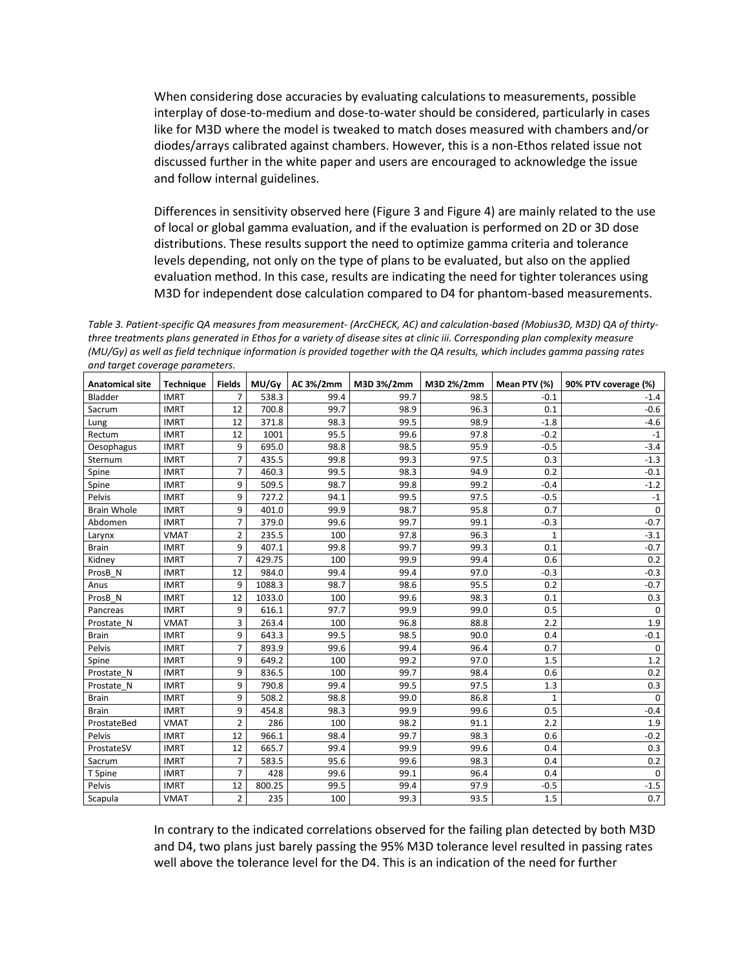When considering dose accuracies by evaluating calculations to measurements, possible interplay of dose-to-medium and dose-to-water should be considered, particularly in cases like for M3D where the model is tweaked to match doses measured with chambers and/or diodes/arrays calibrated against chambers. However, this is a non-Ethos related issue not discussed further in the white paper and users are encouraged to acknowledge the issue and follow internal guidelines.

Differences in sensitivity observed here [\(Figure 3](#page-6-0) an[d Figure 4\)](#page-7-1) are mainly related to the use of local or global gamma evaluation, and if the evaluation is performed on 2D or 3D dose distributions. These results support the need to optimize gamma criteria and tolerance levels depending, not only on the type of plans to be evaluated, but also on the applied evaluation method. In this case, results are indicating the need for tighter tolerances using M3D for independent dose calculation compared to D4 for phantom-based measurements.

<span id="page-8-0"></span>*Table 3. Patient-specific QA measures from measurement- (ArcCHECK, AC) and calculation-based (Mobius3D, M3D) QA of thirtythree treatments plans generated in Ethos for a variety of disease sites at clinic iii. Corresponding plan complexity measure (MU/Gy) as well as field technique information is provided together with the QA results, which includes gamma passing rates and target coverage parameters.*

| <b>Anatomical site</b> | <b>Technique</b> | <b>Fields</b>  | MU/Gy  | AC 3%/2mm | M3D 3%/2mm | M3D 2%/2mm | Mean PTV (%) | 90% PTV coverage (%) |
|------------------------|------------------|----------------|--------|-----------|------------|------------|--------------|----------------------|
| Bladder                | <b>IMRT</b>      | 7              | 538.3  | 99.4      | 99.7       | 98.5       | $-0.1$       | $-1.4$               |
| Sacrum                 | <b>IMRT</b>      | 12             | 700.8  | 99.7      | 98.9       | 96.3       | 0.1          | $-0.6$               |
| Lung                   | <b>IMRT</b>      | 12             | 371.8  | 98.3      | 99.5       | 98.9       | $-1.8$       | $-4.6$               |
| Rectum                 | <b>IMRT</b>      | 12             | 1001   | 95.5      | 99.6       | 97.8       | $-0.2$       | $-1$                 |
| Oesophagus             | <b>IMRT</b>      | 9              | 695.0  | 98.8      | 98.5       | 95.9       | $-0.5$       | $-3.4$               |
| Sternum                | <b>IMRT</b>      | 7              | 435.5  | 99.8      | 99.3       | 97.5       | 0.3          | $-1.3$               |
| Spine                  | <b>IMRT</b>      | $\overline{7}$ | 460.3  | 99.5      | 98.3       | 94.9       | 0.2          | $-0.1$               |
| Spine                  | <b>IMRT</b>      | 9              | 509.5  | 98.7      | 99.8       | 99.2       | $-0.4$       | $-1.2$               |
| Pelvis                 | <b>IMRT</b>      | 9              | 727.2  | 94.1      | 99.5       | 97.5       | $-0.5$       | $-1$                 |
| <b>Brain Whole</b>     | <b>IMRT</b>      | 9              | 401.0  | 99.9      | 98.7       | 95.8       | 0.7          | $\mathbf 0$          |
| Abdomen                | <b>IMRT</b>      | $\overline{7}$ | 379.0  | 99.6      | 99.7       | 99.1       | $-0.3$       | $-0.7$               |
| Larynx                 | <b>VMAT</b>      | 2              | 235.5  | 100       | 97.8       | 96.3       | 1            | $-3.1$               |
| <b>Brain</b>           | <b>IMRT</b>      | 9              | 407.1  | 99.8      | 99.7       | 99.3       | 0.1          | $-0.7$               |
| Kidney                 | <b>IMRT</b>      | 7              | 429.75 | 100       | 99.9       | 99.4       | 0.6          | 0.2                  |
| ProsB N                | <b>IMRT</b>      | 12             | 984.0  | 99.4      | 99.4       | 97.0       | $-0.3$       | $-0.3$               |
| Anus                   | <b>IMRT</b>      | 9              | 1088.3 | 98.7      | 98.6       | 95.5       | 0.2          | $-0.7$               |
| ProsB_N                | <b>IMRT</b>      | 12             | 1033.0 | 100       | 99.6       | 98.3       | 0.1          | 0.3                  |
| Pancreas               | <b>IMRT</b>      | 9              | 616.1  | 97.7      | 99.9       | 99.0       | 0.5          | $\Omega$             |
| Prostate N             | <b>VMAT</b>      | 3              | 263.4  | 100       | 96.8       | 88.8       | 2.2          | 1.9                  |
| <b>Brain</b>           | <b>IMRT</b>      | 9              | 643.3  | 99.5      | 98.5       | 90.0       | 0.4          | $-0.1$               |
| Pelvis                 | <b>IMRT</b>      | $\overline{7}$ | 893.9  | 99.6      | 99.4       | 96.4       | 0.7          | $\mathbf 0$          |
| Spine                  | <b>IMRT</b>      | 9              | 649.2  | 100       | 99.2       | 97.0       | 1.5          | 1.2                  |
| Prostate N             | <b>IMRT</b>      | 9              | 836.5  | 100       | 99.7       | 98.4       | 0.6          | 0.2                  |
| Prostate N             | <b>IMRT</b>      | 9              | 790.8  | 99.4      | 99.5       | 97.5       | 1.3          | 0.3                  |
| <b>Brain</b>           | <b>IMRT</b>      | 9              | 508.2  | 98.8      | 99.0       | 86.8       | $\mathbf 1$  | $\mathbf 0$          |
| <b>Brain</b>           | <b>IMRT</b>      | 9              | 454.8  | 98.3      | 99.9       | 99.6       | 0.5          | $-0.4$               |
| ProstateBed            | <b>VMAT</b>      | $\overline{2}$ | 286    | 100       | 98.2       | 91.1       | 2.2          | 1.9                  |
| Pelvis                 | <b>IMRT</b>      | 12             | 966.1  | 98.4      | 99.7       | 98.3       | 0.6          | $-0.2$               |
| ProstateSV             | <b>IMRT</b>      | 12             | 665.7  | 99.4      | 99.9       | 99.6       | 0.4          | 0.3                  |
| Sacrum                 | <b>IMRT</b>      | 7              | 583.5  | 95.6      | 99.6       | 98.3       | 0.4          | 0.2                  |
| T Spine                | <b>IMRT</b>      | $\overline{7}$ | 428    | 99.6      | 99.1       | 96.4       | 0.4          | $\Omega$             |
| Pelvis                 | <b>IMRT</b>      | 12             | 800.25 | 99.5      | 99.4       | 97.9       | $-0.5$       | $-1.5$               |
| Scapula                | <b>VMAT</b>      | $\overline{2}$ | 235    | 100       | 99.3       | 93.5       | 1.5          | 0.7                  |

In contrary to the indicated correlations observed for the failing plan detected by both M3D and D4, two plans just barely passing the 95% M3D tolerance level resulted in passing rates well above the tolerance level for the D4. This is an indication of the need for further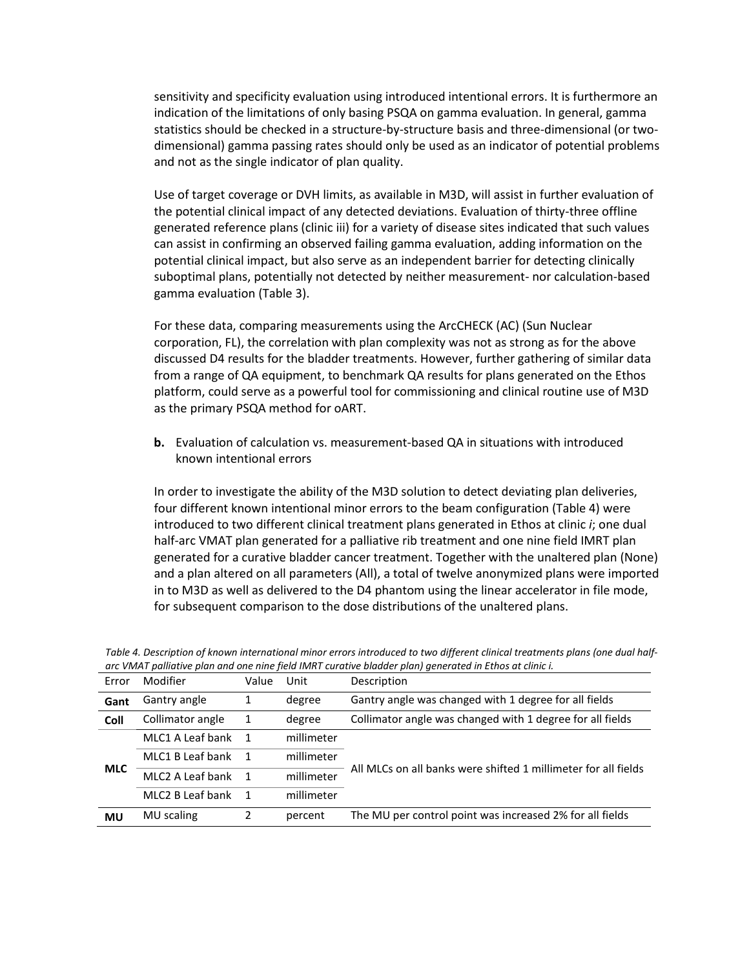sensitivity and specificity evaluation using introduced intentional errors. It is furthermore an indication of the limitations of only basing PSQA on gamma evaluation. In general, gamma statistics should be checked in a structure-by-structure basis and three-dimensional (or twodimensional) gamma passing rates should only be used as an indicator of potential problems and not as the single indicator of plan quality.

Use of target coverage or DVH limits, as available in M3D, will assist in further evaluation of the potential clinical impact of any detected deviations. Evaluation of thirty-three offline generated reference plans (clinic iii) for a variety of disease sites indicated that such values can assist in confirming an observed failing gamma evaluation, adding information on the potential clinical impact, but also serve as an independent barrier for detecting clinically suboptimal plans, potentially not detected by neither measurement- nor calculation-based gamma evaluation [\(Table 3\)](#page-8-0).

For these data, comparing measurements using the ArcCHECK (AC) (Sun Nuclear corporation, FL), the correlation with plan complexity was not as strong as for the above discussed D4 results for the bladder treatments. However, further gathering of similar data from a range of QA equipment, to benchmark QA results for plans generated on the Ethos platform, could serve as a powerful tool for commissioning and clinical routine use of M3D as the primary PSQA method for oART.

**b.** Evaluation of calculation vs. measurement-based QA in situations with introduced known intentional errors

In order to investigate the ability of the M3D solution to detect deviating plan deliveries, four different known intentional minor errors to the beam configuration [\(Table 4\)](#page-9-0) were introduced to two different clinical treatment plans generated in Ethos at clinic *i*; one dual half-arc VMAT plan generated for a palliative rib treatment and one nine field IMRT plan generated for a curative bladder cancer treatment. Together with the unaltered plan (None) and a plan altered on all parameters (All), a total of twelve anonymized plans were imported in to M3D as well as delivered to the D4 phantom using the linear accelerator in file mode, for subsequent comparison to the dose distributions of the unaltered plans.

| Error      | Modifier           | Value                    | Unit       | Description                                                    |
|------------|--------------------|--------------------------|------------|----------------------------------------------------------------|
|            |                    |                          |            |                                                                |
| Gant       | Gantry angle       | 1                        | degree     | Gantry angle was changed with 1 degree for all fields          |
| Coll       | Collimator angle   | 1                        | degree     | Collimator angle was changed with 1 degree for all fields      |
|            | MLC1 A Leaf bank 1 |                          | millimeter |                                                                |
|            | MLC1 B Leaf bank   | $\overline{\phantom{a}}$ | millimeter |                                                                |
| <b>MLC</b> | MLC2 A Leaf bank   | $\overline{\phantom{1}}$ | millimeter | All MLCs on all banks were shifted 1 millimeter for all fields |
|            | MLC2 B Leaf bank   | $\overline{1}$           | millimeter |                                                                |
| <b>MU</b>  | MU scaling         | 2                        | percent    | The MU per control point was increased 2% for all fields       |

<span id="page-9-0"></span>*Table 4. Description of known international minor errors introduced to two different clinical treatments plans (one dual halfarc VMAT palliative plan and one nine field IMRT curative bladder plan) generated in Ethos at clinic i.*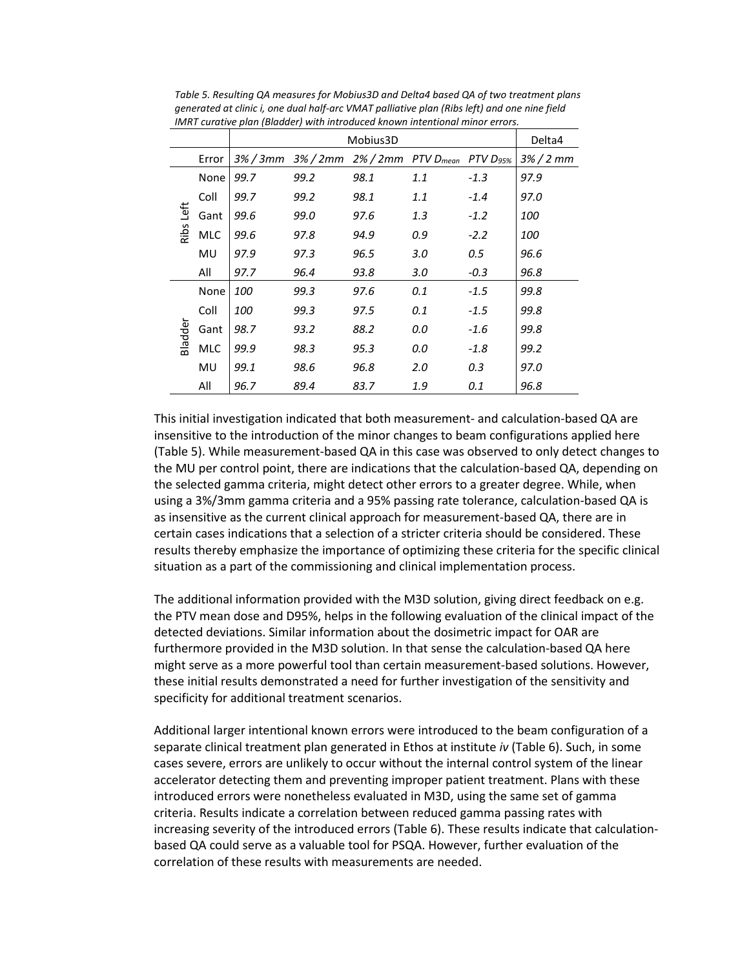|         |            |            | Delta4                                                                         |      |     |        |            |
|---------|------------|------------|--------------------------------------------------------------------------------|------|-----|--------|------------|
|         | Error      |            | $3\%$ / 3mm $3\%$ / 2mm $2\%$ / 2mm PTV D <sub>mean</sub> PTV D <sub>95%</sub> |      |     |        | $3\%/2$ mm |
|         | None       | 99.7       | 99.2                                                                           | 98.1 | 1.1 | $-1.3$ | 97.9       |
|         | Coll       | 99.7       | 99.2                                                                           | 98.1 | 1.1 | $-1.4$ | 97.0       |
| Left    | Gant       | 99.6       | 99.0                                                                           | 97.6 | 1.3 | $-1.2$ | <i>100</i> |
| Ribs    | <b>MLC</b> | 99.6       | 97.8                                                                           | 94.9 | 0.9 | $-2.2$ |            |
|         | MU         | 97.9       | 97.3                                                                           | 96.5 | 3.0 | 0.5    | 96.6       |
|         | All        | 97.7       | 96.4                                                                           | 93.8 | 3.0 | $-0.3$ | 96.8       |
|         | None       | 100        | 99.3                                                                           | 97.6 | 0.1 | $-1.5$ | 99.8       |
|         | Coll       | <i>100</i> | 99.3                                                                           | 97.5 | 0.1 | $-1.5$ | 99.8       |
| Bladder | Gant       | 98.7       | 93.2                                                                           | 88.2 | 0.0 | $-1.6$ | 99.8       |
|         | <b>MLC</b> | 99.9       | 98.3                                                                           | 95.3 | 0.0 | $-1.8$ | 99.2       |
|         | MU         | 99.1       | 98.6                                                                           | 96.8 | 2.0 | 0.3    | 97.0       |
|         | All        | 96.7       | 89.4                                                                           | 83.7 | 1.9 | 0.1    | 96.8       |

<span id="page-10-0"></span>*Table 5. Resulting QA measures for Mobius3D and Delta4 based QA of two treatment plans generated at clinic i, one dual half-arc VMAT palliative plan (Ribs left) and one nine field IMRT curative plan (Bladder) with introduced known intentional minor errors.*

This initial investigation indicated that both measurement- and calculation-based QA are insensitive to the introduction of the minor changes to beam configurations applied here [\(Table 5\)](#page-10-0). While measurement-based QA in this case was observed to only detect changes to the MU per control point, there are indications that the calculation-based QA, depending on the selected gamma criteria, might detect other errors to a greater degree. While, when using a 3%/3mm gamma criteria and a 95% passing rate tolerance, calculation-based QA is as insensitive as the current clinical approach for measurement-based QA, there are in certain cases indications that a selection of a stricter criteria should be considered. These results thereby emphasize the importance of optimizing these criteria for the specific clinical situation as a part of the commissioning and clinical implementation process.

The additional information provided with the M3D solution, giving direct feedback on e.g. the PTV mean dose and D95%, helps in the following evaluation of the clinical impact of the detected deviations. Similar information about the dosimetric impact for OAR are furthermore provided in the M3D solution. In that sense the calculation-based QA here might serve as a more powerful tool than certain measurement-based solutions. However, these initial results demonstrated a need for further investigation of the sensitivity and specificity for additional treatment scenarios.

Additional larger intentional known errors were introduced to the beam configuration of a separate clinical treatment plan generated in Ethos at institute *iv* [\(Table 6\)](#page-11-0). Such, in some cases severe, errors are unlikely to occur without the internal control system of the linear accelerator detecting them and preventing improper patient treatment. Plans with these introduced errors were nonetheless evaluated in M3D, using the same set of gamma criteria. Results indicate a correlation between reduced gamma passing rates with increasing severity of the introduced errors [\(Table 6\)](#page-11-0). These results indicate that calculationbased QA could serve as a valuable tool for PSQA. However, further evaluation of the correlation of these results with measurements are needed.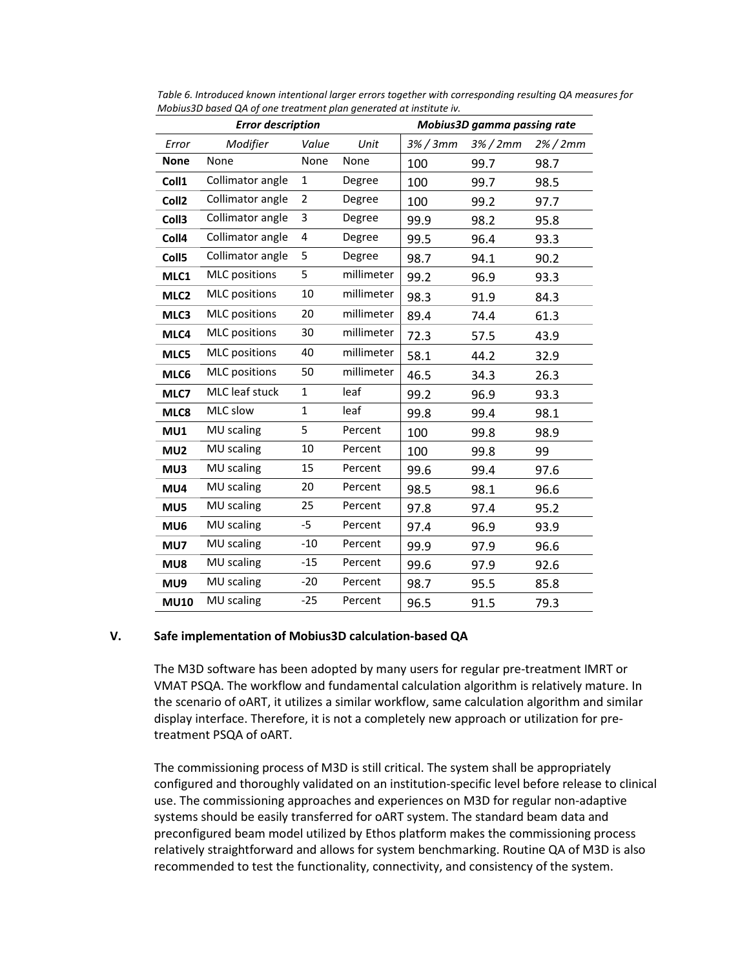| <b>Error description</b> |                      |                |            |                | Mobius3D gamma passing rate |             |
|--------------------------|----------------------|----------------|------------|----------------|-----------------------------|-------------|
| Error                    | Modifier             | Value          | Unit       | $3\%$ / 3 $mm$ | $3\% / 2mm$                 | $2\%$ / 2mm |
| <b>None</b>              | None                 | None           | None       | 100            | 99.7                        | 98.7        |
| Coll1                    | Collimator angle     | $\mathbf{1}$   | Degree     | 100            | 99.7                        | 98.5        |
| Coll <sub>2</sub>        | Collimator angle     | $\overline{2}$ | Degree     | 100            | 99.2                        | 97.7        |
| Coll <sub>3</sub>        | Collimator angle     | 3              | Degree     | 99.9           | 98.2                        | 95.8        |
| Coll4                    | Collimator angle     | 4              | Degree     | 99.5           | 96.4                        | 93.3        |
| Coll <sub>5</sub>        | Collimator angle     | 5              | Degree     | 98.7           | 94.1                        | 90.2        |
| MLC1                     | <b>MLC</b> positions | 5              | millimeter | 99.2           | 96.9                        | 93.3        |
| MLC <sub>2</sub>         | <b>MLC</b> positions | 10             | millimeter | 98.3           | 91.9                        | 84.3        |
| MLC3                     | <b>MLC</b> positions | 20             | millimeter | 89.4           | 74.4                        | 61.3        |
| MLC4                     | <b>MLC</b> positions | 30             | millimeter | 72.3           | 57.5                        | 43.9        |
| MLC5                     | <b>MLC</b> positions | 40             | millimeter | 58.1           | 44.2                        | 32.9        |
| MLC6                     | <b>MLC</b> positions | 50             | millimeter | 46.5           | 34.3                        | 26.3        |
| MLC7                     | MLC leaf stuck       | $\mathbf{1}$   | leaf       | 99.2           | 96.9                        | 93.3        |
| MLC8                     | MLC slow             | $\mathbf{1}$   | leaf       | 99.8           | 99.4                        | 98.1        |
| MU1                      | MU scaling           | 5              | Percent    | 100            | 99.8                        | 98.9        |
| MU <sub>2</sub>          | MU scaling           | 10             | Percent    | 100            | 99.8                        | 99          |
| MU3                      | MU scaling           | 15             | Percent    | 99.6           | 99.4                        | 97.6        |
| MU4                      | MU scaling           | 20             | Percent    | 98.5           | 98.1                        | 96.6        |
| MU5                      | MU scaling           | 25             | Percent    | 97.8           | 97.4                        | 95.2        |
| MU6                      | MU scaling           | -5             | Percent    | 97.4           | 96.9                        | 93.9        |
| MU7                      | MU scaling           | $-10$          | Percent    | 99.9           | 97.9                        | 96.6        |
| MU8                      | MU scaling           | $-15$          | Percent    | 99.6           | 97.9                        | 92.6        |
| MU9                      | MU scaling           | $-20$          | Percent    | 98.7           | 95.5                        | 85.8        |
| <b>MU10</b>              | MU scaling           | $-25$          | Percent    | 96.5           | 91.5                        | 79.3        |

<span id="page-11-0"></span>*Table 6. Introduced known intentional larger errors together with corresponding resulting QA measures for Mobius3D based QA of one treatment plan generated at institute iv.*

# **V. Safe implementation of Mobius3D calculation-based QA**

The M3D software has been adopted by many users for regular pre-treatment IMRT or VMAT PSQA. The workflow and fundamental calculation algorithm is relatively mature. In the scenario of oART, it utilizes a similar workflow, same calculation algorithm and similar display interface. Therefore, it is not a completely new approach or utilization for pretreatment PSQA of oART.

The commissioning process of M3D is still critical. The system shall be appropriately configured and thoroughly validated on an institution-specific level before release to clinical use. The commissioning approaches and experiences on M3D for regular non-adaptive systems should be easily transferred for oART system. The standard beam data and preconfigured beam model utilized by Ethos platform makes the commissioning process relatively straightforward and allows for system benchmarking. Routine QA of M3D is also recommended to test the functionality, connectivity, and consistency of the system.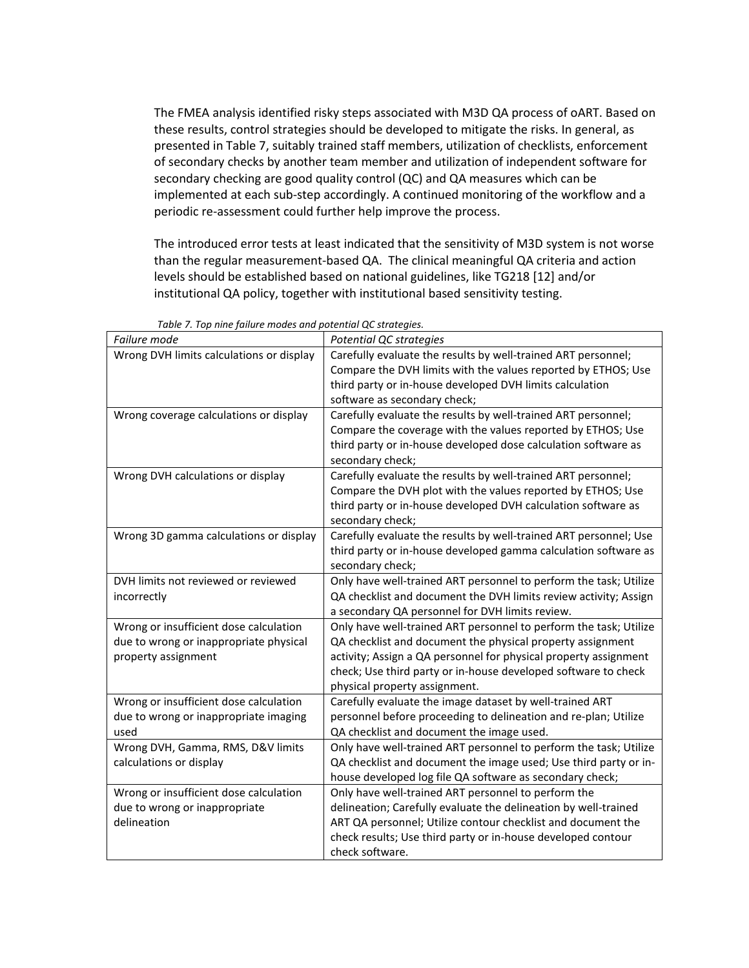The FMEA analysis identified risky steps associated with M3D QA process of oART. Based on these results, control strategies should be developed to mitigate the risks. In general, as presented in [Table 7,](#page-12-0) suitably trained staff members, utilization of checklists, enforcement of secondary checks by another team member and utilization of independent software for secondary checking are good quality control (QC) and QA measures which can be implemented at each sub-step accordingly. A continued monitoring of the workflow and a periodic re-assessment could further help improve the process.

The introduced error tests at least indicated that the sensitivity of M3D system is not worse than the regular measurement-based QA. The clinical meaningful QA criteria and action levels should be established based on national guidelines, like TG218 [12] and/or institutional QA policy, together with institutional based sensitivity testing.

<span id="page-12-0"></span>

| Failure mode                             | Potential QC strategies                                           |
|------------------------------------------|-------------------------------------------------------------------|
| Wrong DVH limits calculations or display | Carefully evaluate the results by well-trained ART personnel;     |
|                                          | Compare the DVH limits with the values reported by ETHOS; Use     |
|                                          | third party or in-house developed DVH limits calculation          |
|                                          | software as secondary check;                                      |
| Wrong coverage calculations or display   | Carefully evaluate the results by well-trained ART personnel;     |
|                                          | Compare the coverage with the values reported by ETHOS; Use       |
|                                          | third party or in-house developed dose calculation software as    |
|                                          | secondary check;                                                  |
| Wrong DVH calculations or display        | Carefully evaluate the results by well-trained ART personnel;     |
|                                          | Compare the DVH plot with the values reported by ETHOS; Use       |
|                                          | third party or in-house developed DVH calculation software as     |
|                                          | secondary check;                                                  |
| Wrong 3D gamma calculations or display   | Carefully evaluate the results by well-trained ART personnel; Use |
|                                          | third party or in-house developed gamma calculation software as   |
|                                          | secondary check;                                                  |
| DVH limits not reviewed or reviewed      | Only have well-trained ART personnel to perform the task; Utilize |
| incorrectly                              | QA checklist and document the DVH limits review activity; Assign  |
|                                          | a secondary QA personnel for DVH limits review.                   |
| Wrong or insufficient dose calculation   | Only have well-trained ART personnel to perform the task; Utilize |
| due to wrong or inappropriate physical   | QA checklist and document the physical property assignment        |
| property assignment                      | activity; Assign a QA personnel for physical property assignment  |
|                                          | check; Use third party or in-house developed software to check    |
|                                          | physical property assignment.                                     |
| Wrong or insufficient dose calculation   | Carefully evaluate the image dataset by well-trained ART          |
| due to wrong or inappropriate imaging    | personnel before proceeding to delineation and re-plan; Utilize   |
| used                                     | QA checklist and document the image used.                         |
| Wrong DVH, Gamma, RMS, D&V limits        | Only have well-trained ART personnel to perform the task; Utilize |
| calculations or display                  | QA checklist and document the image used; Use third party or in-  |
|                                          | house developed log file QA software as secondary check;          |
| Wrong or insufficient dose calculation   | Only have well-trained ART personnel to perform the               |
| due to wrong or inappropriate            | delineation; Carefully evaluate the delineation by well-trained   |
| delineation                              | ART QA personnel; Utilize contour checklist and document the      |
|                                          | check results; Use third party or in-house developed contour      |
|                                          | check software.                                                   |

*Table 7. Top nine failure modes and potential QC strategies.*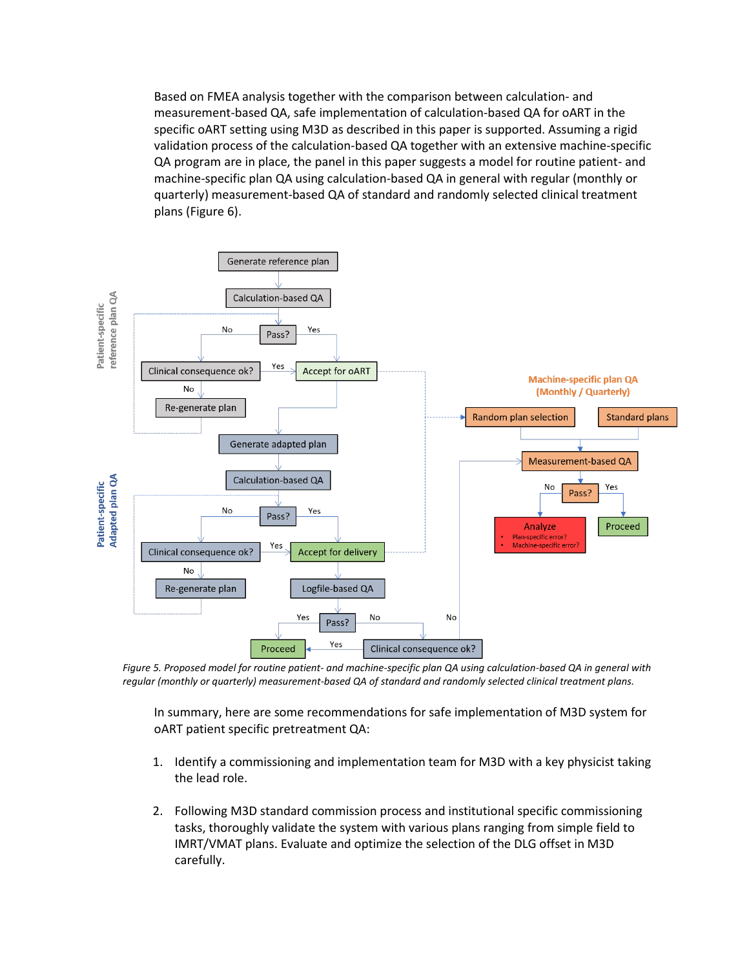Based on FMEA analysis together with the comparison between calculation- and measurement-based QA, safe implementation of calculation-based QA for oART in the specific oART setting using M3D as described in this paper is supported. Assuming a rigid validation process of the calculation-based QA together with an extensive machine-specific QA program are in place, the panel in this paper suggests a model for routine patient- and machine-specific plan QA using calculation-based QA in general with regular (monthly or quarterly) measurement-based QA of standard and randomly selected clinical treatment plans [\(Figure 6\)](#page-13-0).



<span id="page-13-0"></span>*Figure 5. Proposed model for routine patient- and machine-specific plan QA using calculation-based QA in general with regular (monthly or quarterly) measurement-based QA of standard and randomly selected clinical treatment plans.*

In summary, here are some recommendations for safe implementation of M3D system for oART patient specific pretreatment QA:

- 1. Identify a commissioning and implementation team for M3D with a key physicist taking the lead role.
- 2. Following M3D standard commission process and institutional specific commissioning tasks, thoroughly validate the system with various plans ranging from simple field to IMRT/VMAT plans. Evaluate and optimize the selection of the DLG offset in M3D carefully.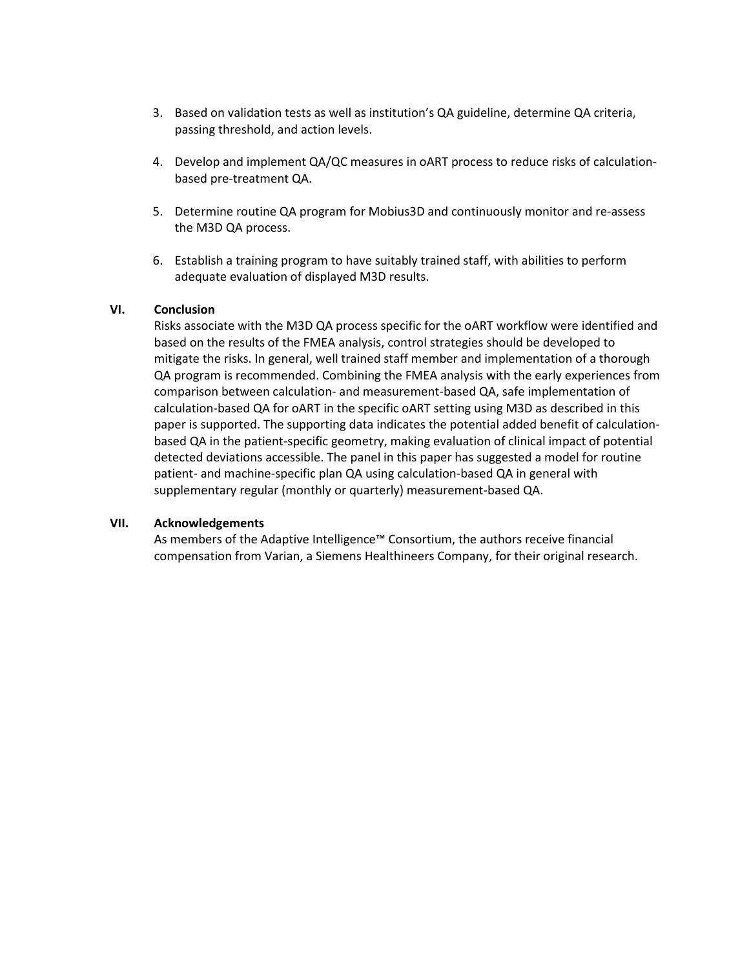- 3. Based on validation tests as well as institution's QA guideline, determine QA criteria, passing threshold, and action levels.
- 4. Develop and implement QA/QC measures in oART process to reduce risks of calculationbased pre-treatment QA.
- 5. Determine routine QA program for Mobius3D and continuously monitor and re-assess the M3D QA process.
- 6. Establish a training program to have suitably trained staff, with abilities to perform adequate evaluation of displayed M3D results.

### **VI. Conclusion**

Risks associate with the M3D QA process specific for the oART workflow were identified and based on the results of the FMEA analysis, control strategies should be developed to mitigate the risks. In general, well trained staff member and implementation of a thorough QA program is recommended. Combining the FMEA analysis with the early experiences from comparison between calculation- and measurement-based QA, safe implementation of calculation-based QA for oART in the specific oART setting using M3D as described in this paper is supported. The supporting data indicates the potential added benefit of calculationbased QA in the patient-specific geometry, making evaluation of clinical impact of potential detected deviations accessible. The panel in this paper has suggested a model for routine patient- and machine-specific plan QA using calculation-based QA in general with supplementary regular (monthly or quarterly) measurement-based QA.

### **VII. Acknowledgements**

As members of the Adaptive Intelligence™ Consortium, the authors receive financial compensation from Varian, a Siemens Healthineers Company, for their original research.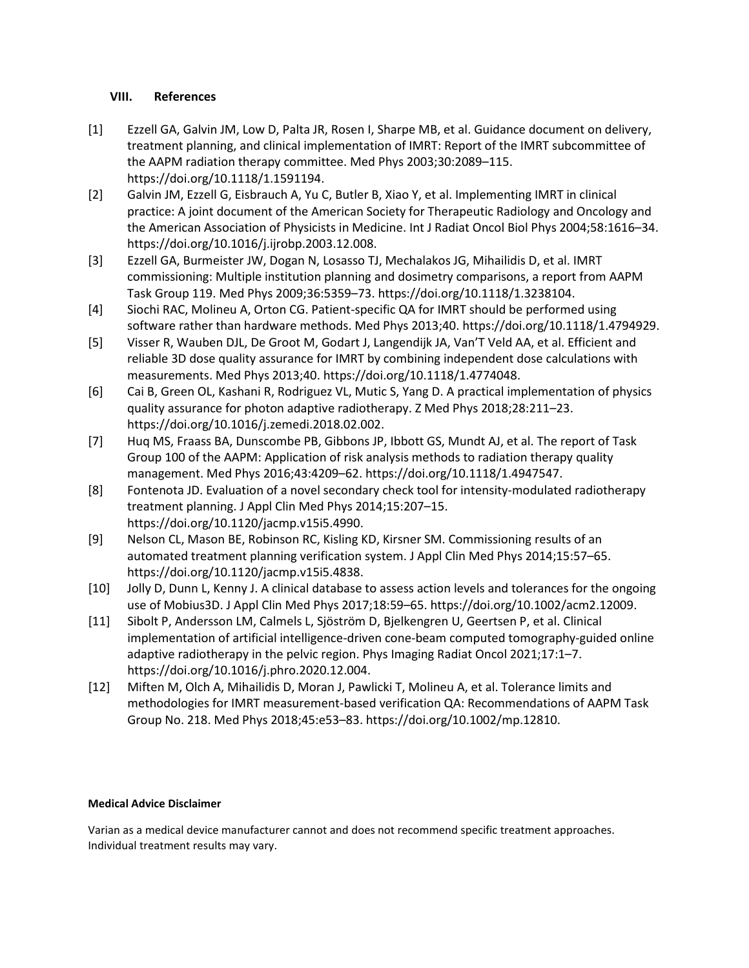# **VIII. References**

- [1] Ezzell GA, Galvin JM, Low D, Palta JR, Rosen I, Sharpe MB, et al. Guidance document on delivery, treatment planning, and clinical implementation of IMRT: Report of the IMRT subcommittee of the AAPM radiation therapy committee. Med Phys 2003;30:2089–115. https://doi.org/10.1118/1.1591194.
- [2] Galvin JM, Ezzell G, Eisbrauch A, Yu C, Butler B, Xiao Y, et al. Implementing IMRT in clinical practice: A joint document of the American Society for Therapeutic Radiology and Oncology and the American Association of Physicists in Medicine. Int J Radiat Oncol Biol Phys 2004;58:1616–34. https://doi.org/10.1016/j.ijrobp.2003.12.008.
- [3] Ezzell GA, Burmeister JW, Dogan N, Losasso TJ, Mechalakos JG, Mihailidis D, et al. IMRT commissioning: Multiple institution planning and dosimetry comparisons, a report from AAPM Task Group 119. Med Phys 2009;36:5359–73. https://doi.org/10.1118/1.3238104.
- [4] Siochi RAC, Molineu A, Orton CG. Patient-specific QA for IMRT should be performed using software rather than hardware methods. Med Phys 2013;40. https://doi.org/10.1118/1.4794929.
- [5] Visser R, Wauben DJL, De Groot M, Godart J, Langendijk JA, Van'T Veld AA, et al. Efficient and reliable 3D dose quality assurance for IMRT by combining independent dose calculations with measurements. Med Phys 2013;40. https://doi.org/10.1118/1.4774048.
- [6] Cai B, Green OL, Kashani R, Rodriguez VL, Mutic S, Yang D. A practical implementation of physics quality assurance for photon adaptive radiotherapy. Z Med Phys 2018;28:211–23. https://doi.org/10.1016/j.zemedi.2018.02.002.
- [7] Huq MS, Fraass BA, Dunscombe PB, Gibbons JP, Ibbott GS, Mundt AJ, et al. The report of Task Group 100 of the AAPM: Application of risk analysis methods to radiation therapy quality management. Med Phys 2016;43:4209–62. https://doi.org/10.1118/1.4947547.
- [8] Fontenota JD. Evaluation of a novel secondary check tool for intensity-modulated radiotherapy treatment planning. J Appl Clin Med Phys 2014;15:207–15. https://doi.org/10.1120/jacmp.v15i5.4990.
- [9] Nelson CL, Mason BE, Robinson RC, Kisling KD, Kirsner SM. Commissioning results of an automated treatment planning verification system. J Appl Clin Med Phys 2014;15:57–65. https://doi.org/10.1120/jacmp.v15i5.4838.
- [10] Jolly D, Dunn L, Kenny J. A clinical database to assess action levels and tolerances for the ongoing use of Mobius3D. J Appl Clin Med Phys 2017;18:59–65. https://doi.org/10.1002/acm2.12009.
- [11] Sibolt P, Andersson LM, Calmels L, Sjöström D, Bjelkengren U, Geertsen P, et al. Clinical implementation of artificial intelligence-driven cone-beam computed tomography-guided online adaptive radiotherapy in the pelvic region. Phys Imaging Radiat Oncol 2021;17:1–7. https://doi.org/10.1016/j.phro.2020.12.004.
- [12] Miften M, Olch A, Mihailidis D, Moran J, Pawlicki T, Molineu A, et al. Tolerance limits and methodologies for IMRT measurement-based verification QA: Recommendations of AAPM Task Group No. 218. Med Phys 2018;45:e53–83. https://doi.org/10.1002/mp.12810.

# **Medical Advice Disclaimer**

Varian as a medical device manufacturer cannot and does not recommend specific treatment approaches. Individual treatment results may vary.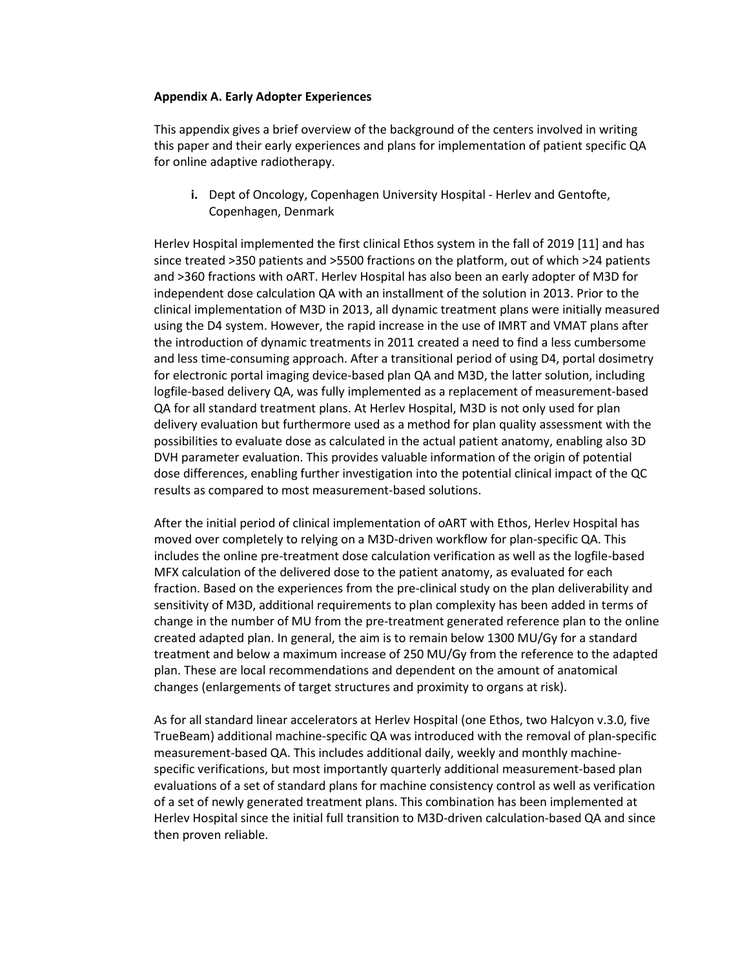### **Appendix A. Early Adopter Experiences**

This appendix gives a brief overview of the background of the centers involved in writing this paper and their early experiences and plans for implementation of patient specific QA for online adaptive radiotherapy.

**i.** Dept of Oncology, Copenhagen University Hospital - Herlev and Gentofte, Copenhagen, Denmark

Herlev Hospital implemented the first clinical Ethos system in the fall of 2019 [11] and has since treated >350 patients and >5500 fractions on the platform, out of which >24 patients and >360 fractions with oART. Herlev Hospital has also been an early adopter of M3D for independent dose calculation QA with an installment of the solution in 2013. Prior to the clinical implementation of M3D in 2013, all dynamic treatment plans were initially measured using the D4 system. However, the rapid increase in the use of IMRT and VMAT plans after the introduction of dynamic treatments in 2011 created a need to find a less cumbersome and less time-consuming approach. After a transitional period of using D4, portal dosimetry for electronic portal imaging device-based plan QA and M3D, the latter solution, including logfile-based delivery QA, was fully implemented as a replacement of measurement-based QA for all standard treatment plans. At Herlev Hospital, M3D is not only used for plan delivery evaluation but furthermore used as a method for plan quality assessment with the possibilities to evaluate dose as calculated in the actual patient anatomy, enabling also 3D DVH parameter evaluation. This provides valuable information of the origin of potential dose differences, enabling further investigation into the potential clinical impact of the QC results as compared to most measurement-based solutions.

After the initial period of clinical implementation of oART with Ethos, Herlev Hospital has moved over completely to relying on a M3D-driven workflow for plan-specific QA. This includes the online pre-treatment dose calculation verification as well as the logfile-based MFX calculation of the delivered dose to the patient anatomy, as evaluated for each fraction. Based on the experiences from the pre-clinical study on the plan deliverability and sensitivity of M3D, additional requirements to plan complexity has been added in terms of change in the number of MU from the pre-treatment generated reference plan to the online created adapted plan. In general, the aim is to remain below 1300 MU/Gy for a standard treatment and below a maximum increase of 250 MU/Gy from the reference to the adapted plan. These are local recommendations and dependent on the amount of anatomical changes (enlargements of target structures and proximity to organs at risk).

As for all standard linear accelerators at Herlev Hospital (one Ethos, two Halcyon v.3.0, five TrueBeam) additional machine-specific QA was introduced with the removal of plan-specific measurement-based QA. This includes additional daily, weekly and monthly machinespecific verifications, but most importantly quarterly additional measurement-based plan evaluations of a set of standard plans for machine consistency control as well as verification of a set of newly generated treatment plans. This combination has been implemented at Herlev Hospital since the initial full transition to M3D-driven calculation-based QA and since then proven reliable.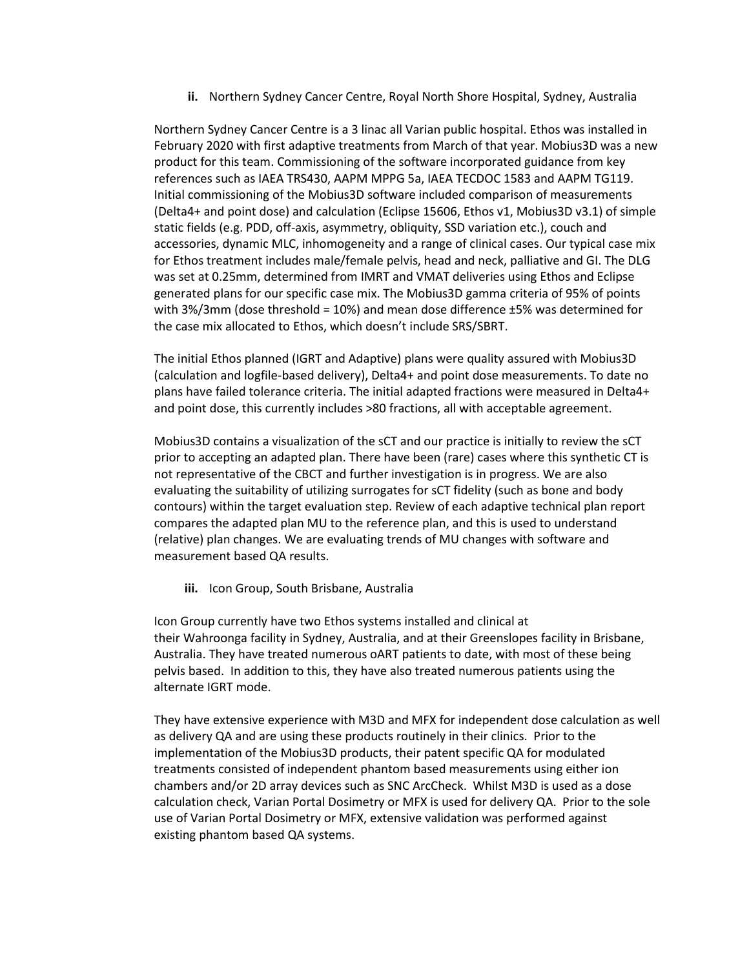**ii.** Northern Sydney Cancer Centre, Royal North Shore Hospital, Sydney, Australia

Northern Sydney Cancer Centre is a 3 linac all Varian public hospital. Ethos was installed in February 2020 with first adaptive treatments from March of that year. Mobius3D was a new product for this team. Commissioning of the software incorporated guidance from key references such as IAEA TRS430, AAPM MPPG 5a, IAEA TECDOC 1583 and AAPM TG119. Initial commissioning of the Mobius3D software included comparison of measurements (Delta4+ and point dose) and calculation (Eclipse 15606, Ethos v1, Mobius3D v3.1) of simple static fields (e.g. PDD, off-axis, asymmetry, obliquity, SSD variation etc.), couch and accessories, dynamic MLC, inhomogeneity and a range of clinical cases. Our typical case mix for Ethos treatment includes male/female pelvis, head and neck, palliative and GI. The DLG was set at 0.25mm, determined from IMRT and VMAT deliveries using Ethos and Eclipse generated plans for our specific case mix. The Mobius3D gamma criteria of 95% of points with 3%/3mm (dose threshold = 10%) and mean dose difference ±5% was determined for the case mix allocated to Ethos, which doesn't include SRS/SBRT.

The initial Ethos planned (IGRT and Adaptive) plans were quality assured with Mobius3D (calculation and logfile-based delivery), Delta4+ and point dose measurements. To date no plans have failed tolerance criteria. The initial adapted fractions were measured in Delta4+ and point dose, this currently includes >80 fractions, all with acceptable agreement.

Mobius3D contains a visualization of the sCT and our practice is initially to review the sCT prior to accepting an adapted plan. There have been (rare) cases where this synthetic CT is not representative of the CBCT and further investigation is in progress. We are also evaluating the suitability of utilizing surrogates for sCT fidelity (such as bone and body contours) within the target evaluation step. Review of each adaptive technical plan report compares the adapted plan MU to the reference plan, and this is used to understand (relative) plan changes. We are evaluating trends of MU changes with software and measurement based QA results.

**iii.** Icon Group, South Brisbane, Australia

Icon Group currently have two Ethos systems installed and clinical at their Wahroonga facility in Sydney, Australia, and at their Greenslopes facility in Brisbane, Australia. They have treated numerous oART patients to date, with most of these being pelvis based. In addition to this, they have also treated numerous patients using the alternate IGRT mode.

They have extensive experience with M3D and MFX for independent dose calculation as well as delivery QA and are using these products routinely in their clinics. Prior to the implementation of the Mobius3D products, their patent specific QA for modulated treatments consisted of independent phantom based measurements using either ion chambers and/or 2D array devices such as SNC ArcCheck. Whilst M3D is used as a dose calculation check, Varian Portal Dosimetry or MFX is used for delivery QA. Prior to the sole use of Varian Portal Dosimetry or MFX, extensive validation was performed against existing phantom based QA systems.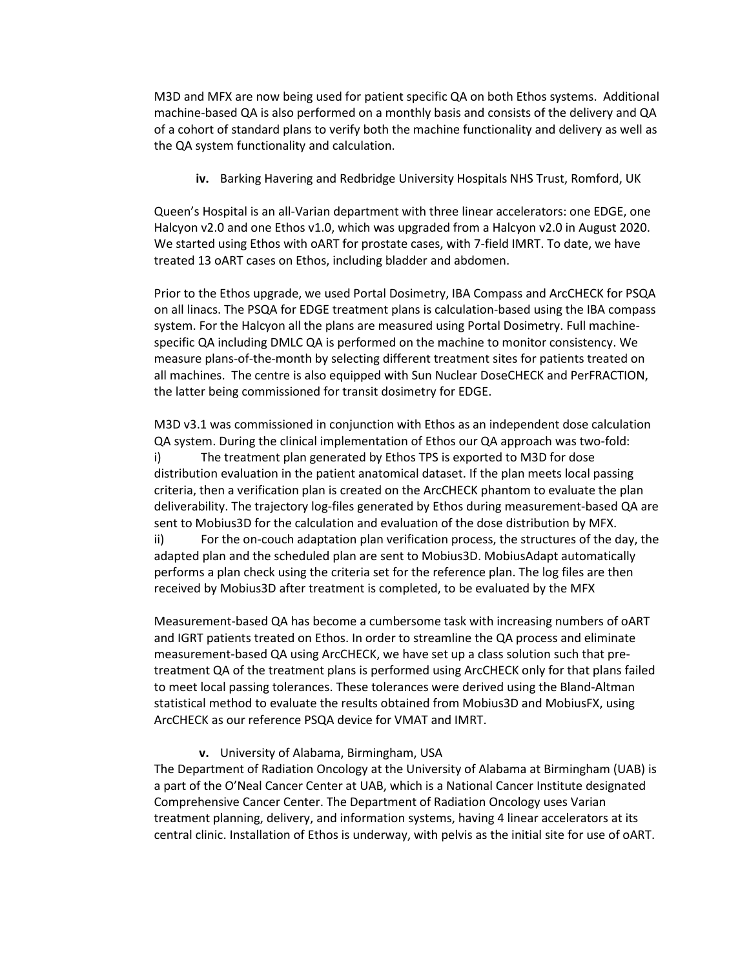M3D and MFX are now being used for patient specific QA on both Ethos systems. Additional machine-based QA is also performed on a monthly basis and consists of the delivery and QA of a cohort of standard plans to verify both the machine functionality and delivery as well as the QA system functionality and calculation.

**iv.** Barking Havering and Redbridge University Hospitals NHS Trust, Romford, UK

Queen's Hospital is an all-Varian department with three linear accelerators: one EDGE, one Halcyon v2.0 and one Ethos v1.0, which was upgraded from a Halcyon v2.0 in August 2020. We started using Ethos with oART for prostate cases, with 7-field IMRT. To date, we have treated 13 oART cases on Ethos, including bladder and abdomen.

Prior to the Ethos upgrade, we used Portal Dosimetry, IBA Compass and ArcCHECK for PSQA on all linacs. The PSQA for EDGE treatment plans is calculation-based using the IBA compass system. For the Halcyon all the plans are measured using Portal Dosimetry. Full machinespecific QA including DMLC QA is performed on the machine to monitor consistency. We measure plans-of-the-month by selecting different treatment sites for patients treated on all machines. The centre is also equipped with Sun Nuclear DoseCHECK and PerFRACTION, the latter being commissioned for transit dosimetry for EDGE.

M3D v3.1 was commissioned in conjunction with Ethos as an independent dose calculation QA system. During the clinical implementation of Ethos our QA approach was two-fold: i) The treatment plan generated by Ethos TPS is exported to M3D for dose distribution evaluation in the patient anatomical dataset. If the plan meets local passing criteria, then a verification plan is created on the ArcCHECK phantom to evaluate the plan deliverability. The trajectory log-files generated by Ethos during measurement-based QA are sent to Mobius3D for the calculation and evaluation of the dose distribution by MFX. ii) For the on-couch adaptation plan verification process, the structures of the day, the adapted plan and the scheduled plan are sent to Mobius3D. MobiusAdapt automatically performs a plan check using the criteria set for the reference plan. The log files are then received by Mobius3D after treatment is completed, to be evaluated by the MFX

Measurement-based QA has become a cumbersome task with increasing numbers of oART and IGRT patients treated on Ethos. In order to streamline the QA process and eliminate measurement-based QA using ArcCHECK, we have set up a class solution such that pretreatment QA of the treatment plans is performed using ArcCHECK only for that plans failed to meet local passing tolerances. These tolerances were derived using the Bland-Altman statistical method to evaluate the results obtained from Mobius3D and MobiusFX, using ArcCHECK as our reference PSQA device for VMAT and IMRT.

### **v.** University of Alabama, Birmingham, USA

The Department of Radiation Oncology at the University of Alabama at Birmingham (UAB) is a part of the O'Neal Cancer Center at UAB, which is a National Cancer Institute designated Comprehensive Cancer Center. The Department of Radiation Oncology uses Varian treatment planning, delivery, and information systems, having 4 linear accelerators at its central clinic. Installation of Ethos is underway, with pelvis as the initial site for use of oART.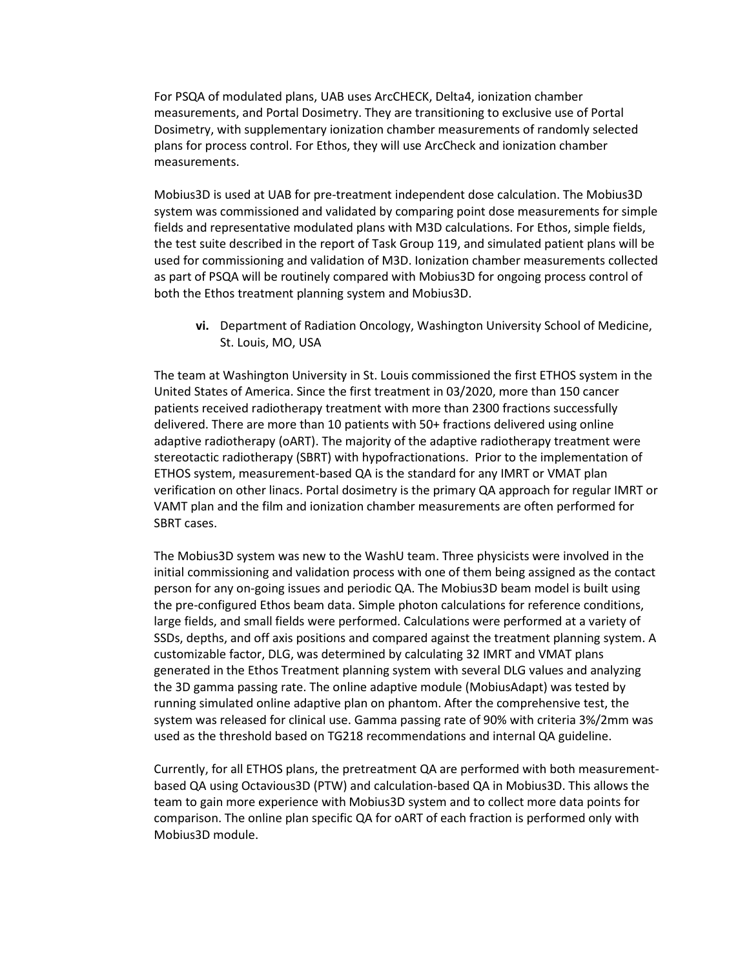For PSQA of modulated plans, UAB uses ArcCHECK, Delta4, ionization chamber measurements, and Portal Dosimetry. They are transitioning to exclusive use of Portal Dosimetry, with supplementary ionization chamber measurements of randomly selected plans for process control. For Ethos, they will use ArcCheck and ionization chamber measurements.

Mobius3D is used at UAB for pre-treatment independent dose calculation. The Mobius3D system was commissioned and validated by comparing point dose measurements for simple fields and representative modulated plans with M3D calculations. For Ethos, simple fields, the test suite described in the report of Task Group 119, and simulated patient plans will be used for commissioning and validation of M3D. Ionization chamber measurements collected as part of PSQA will be routinely compared with Mobius3D for ongoing process control of both the Ethos treatment planning system and Mobius3D.

**vi.** Department of Radiation Oncology, Washington University School of Medicine, St. Louis, MO, USA

The team at Washington University in St. Louis commissioned the first ETHOS system in the United States of America. Since the first treatment in 03/2020, more than 150 cancer patients received radiotherapy treatment with more than 2300 fractions successfully delivered. There are more than 10 patients with 50+ fractions delivered using online adaptive radiotherapy (oART). The majority of the adaptive radiotherapy treatment were stereotactic radiotherapy (SBRT) with hypofractionations. Prior to the implementation of ETHOS system, measurement-based QA is the standard for any IMRT or VMAT plan verification on other linacs. Portal dosimetry is the primary QA approach for regular IMRT or VAMT plan and the film and ionization chamber measurements are often performed for SBRT cases.

The Mobius3D system was new to the WashU team. Three physicists were involved in the initial commissioning and validation process with one of them being assigned as the contact person for any on-going issues and periodic QA. The Mobius3D beam model is built using the pre-configured Ethos beam data. Simple photon calculations for reference conditions, large fields, and small fields were performed. Calculations were performed at a variety of SSDs, depths, and off axis positions and compared against the treatment planning system. A customizable factor, DLG, was determined by calculating 32 IMRT and VMAT plans generated in the Ethos Treatment planning system with several DLG values and analyzing the 3D gamma passing rate. The online adaptive module (MobiusAdapt) was tested by running simulated online adaptive plan on phantom. After the comprehensive test, the system was released for clinical use. Gamma passing rate of 90% with criteria 3%/2mm was used as the threshold based on TG218 recommendations and internal QA guideline.

Currently, for all ETHOS plans, the pretreatment QA are performed with both measurementbased QA using Octavious3D (PTW) and calculation-based QA in Mobius3D. This allows the team to gain more experience with Mobius3D system and to collect more data points for comparison. The online plan specific QA for oART of each fraction is performed only with Mobius3D module.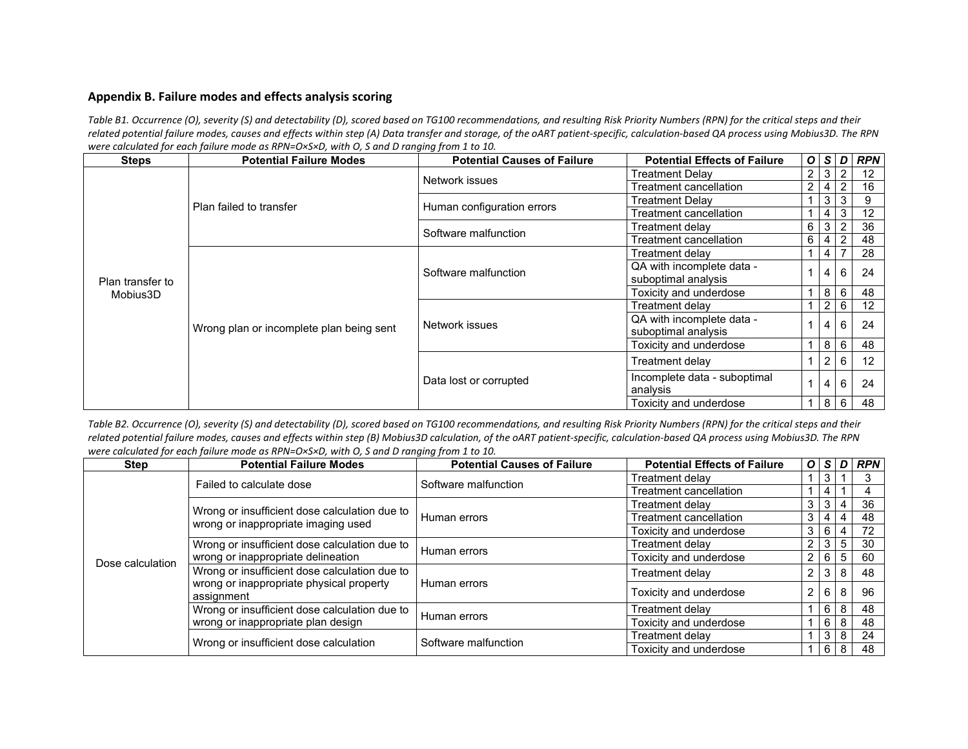# **Appendix B. Failure modes and effects analysis scoring**

*Table B1. Occurrence (O), severity (S) and detectability (D), scored based on TG100 recommendations, and resulting Risk Priority Numbers (RPN) for the critical steps and their related potential failure modes, causes and effects within step (A) Data transfer and storage, of the oART patient-specific, calculation-based QA process using Mobius3D. The RPN were calculated for each failure mode as RPN=O×S×D, with O, S and D ranging from 1 to 10.*

| <b>Steps</b>     | <b>Potential Failure Modes</b>           | <b>Potential Causes of Failure</b> | <b>Potential Effects of Failure</b> |            | O S                        | $\mathbf{D}$     | <b>RPN</b>        |
|------------------|------------------------------------------|------------------------------------|-------------------------------------|------------|----------------------------|------------------|-------------------|
|                  |                                          | Network issues                     | <b>Treatment Delay</b>              |            |                            | 2 3 2            | 12                |
|                  |                                          |                                    | <b>Treatment cancellation</b>       |            | 2 4                        | $\overline{2}$   | 16                |
|                  | Plan failed to transfer                  | Human configuration errors         | Treatment Delay                     |            |                            | $3 \mid 3$       | 9                 |
|                  |                                          |                                    | Treatment cancellation              |            | $\overline{4}$             | 3                | 12                |
|                  |                                          | Software malfunction               | Treatment delav                     | $6 \mid 3$ |                            |                  | 36                |
|                  |                                          |                                    | Treatment cancellation              | $6 \mid 4$ |                            |                  | 48                |
|                  |                                          |                                    | Treatment delav                     |            | 4                          |                  | 28                |
|                  |                                          | Software malfunction               | QA with incomplete data -           |            | 4                          | 6                | 24                |
| Plan transfer to |                                          |                                    | suboptimal analysis                 |            |                            |                  |                   |
| Mobius3D         |                                          |                                    | Toxicity and underdose              |            | 8                          | 6                | 48                |
|                  |                                          | Network issues                     | Treatment delav                     |            | 2                          | 6                | $12 \overline{ }$ |
|                  |                                          |                                    | QA with incomplete data -           |            | 4                          | 6                | 24                |
|                  | Wrong plan or incomplete plan being sent |                                    | suboptimal analysis                 |            |                            |                  |                   |
|                  |                                          |                                    | Toxicity and underdose              |            |                            | $8 \overline{6}$ | 48                |
|                  |                                          |                                    | Treatment delay                     |            | $\overline{2}$             | 6                | 12                |
|                  |                                          | Data lost or corrupted             | Incomplete data - suboptimal        |            | 4                          | 6                | 24                |
|                  |                                          |                                    | analysis                            |            |                            |                  |                   |
|                  |                                          |                                    | Toxicity and underdose              |            | $\cdot$   8 $\overline{1}$ | 6                | 48                |

<span id="page-20-0"></span>*Table B2. Occurrence (O), severity (S) and detectability (D), scored based on TG100 recommendations, and resulting Risk Priority Numbers (RPN) for the critical steps and their related potential failure modes, causes and effects within step (B) Mobius3D calculation, of the oART patient-specific, calculation-based QA process using Mobius3D. The RPN were calculated for each failure mode as RPN=O×S×D, with O, S and D ranging from 1 to 10.*

| <b>Step</b>      | <b>Potential Failure Modes</b>                                                                          | <b>Potential Causes of Failure</b> | <b>Potential Effects of Failure</b> |                |                  |                | $O S D $ RPN |
|------------------|---------------------------------------------------------------------------------------------------------|------------------------------------|-------------------------------------|----------------|------------------|----------------|--------------|
|                  | Failed to calculate dose                                                                                | Software malfunction               | Treatment delav                     |                | 3                |                |              |
|                  |                                                                                                         |                                    | Treatment cancellation              |                |                  |                |              |
|                  |                                                                                                         |                                    | Treatment delav                     | 3 <sup>1</sup> | 3 <sup>1</sup>   | 4              | 36           |
|                  | Wrong or insufficient dose calculation due to<br>wrong or inappropriate imaging used                    | Human errors                       | Treatment cancellation              | 3              | $\overline{4}$   | 4              | 48           |
|                  |                                                                                                         |                                    | Toxicity and underdose              |                | 3 6              | $\overline{4}$ | 72           |
|                  | Wrong or insufficient dose calculation due to                                                           | i Human errors                     | Treatment delay                     | $\mathbf{2}$   | $3 \mid 5$       |                | 30           |
| Dose calculation | wrong or inappropriate delineation                                                                      |                                    | Toxicity and underdose              | $\mathbf{2}$   | $6 \overline{5}$ |                | 60           |
|                  | Wrong or insufficient dose calculation due to<br>wrong or inappropriate physical property<br>assignment | I Human errors                     | Treatment delay                     | $\mathbf{2}$   | $3 \mid 8$       |                | 48           |
|                  |                                                                                                         |                                    | Toxicity and underdose              | $2^{\circ}$    | $6 \mid$         | 8              | 96           |
|                  | Wrong or insufficient dose calculation due to                                                           | Human errors                       | Treatment delav                     |                | $6 \mid 8$       |                | 48           |
|                  | wrong or inappropriate plan design                                                                      |                                    | Toxicity and underdose              |                | $6 \mid 8$       |                | 48           |
|                  | Wrong or insufficient dose calculation                                                                  | Software malfunction               | Treatment delav                     |                | $3 \mid 8$       |                | 24           |
|                  |                                                                                                         |                                    | Toxicity and underdose              |                | 6 8              |                | 48           |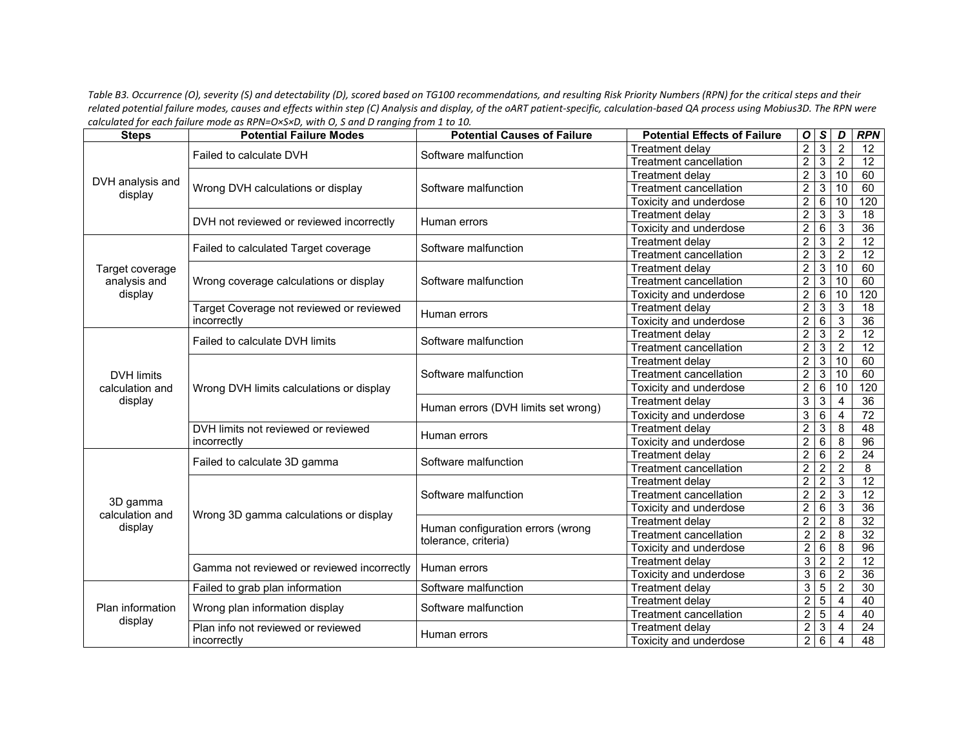*Table B3. Occurrence (O), severity (S) and detectability (D), scored based on TG100 recommendations, and resulting Risk Priority Numbers (RPN) for the critical steps and their related potential failure modes, causes and effects within step (C) Analysis and display, of the oART patient-specific, calculation-based QA process using Mobius3D. The RPN were calculated for each failure mode as RPN=O×S×D, with O, S and D ranging from 1 to 10.*

| <b>Steps</b>                                                                                                                                                           | <b>Potential Failure Modes</b>             | <b>Potential Causes of Failure</b>  | <b>Potential Effects of Failure</b> | O              | $\mathsf S$     | D               | <b>RPN</b>      |
|------------------------------------------------------------------------------------------------------------------------------------------------------------------------|--------------------------------------------|-------------------------------------|-------------------------------------|----------------|-----------------|-----------------|-----------------|
|                                                                                                                                                                        | Failed to calculate DVH                    | Software malfunction                | Treatment delay                     | $\overline{2}$ | $\overline{3}$  | $\overline{2}$  | 12              |
|                                                                                                                                                                        |                                            |                                     | <b>Treatment cancellation</b>       | $\overline{2}$ | $\overline{3}$  | $\overline{2}$  | 12              |
|                                                                                                                                                                        |                                            |                                     | <b>Treatment delav</b>              | $\overline{2}$ | $\overline{3}$  | $\overline{10}$ | 60              |
|                                                                                                                                                                        | Wrong DVH calculations or display          | Software malfunction                | <b>Treatment cancellation</b>       | $\overline{2}$ | $\overline{3}$  | 10              | 60              |
|                                                                                                                                                                        |                                            |                                     | <b>Toxicity and underdose</b>       | $\overline{2}$ | $6\overline{6}$ | 10              | 120             |
| DVH analysis and<br>display<br>Target coverage<br>analysis and<br>display<br><b>DVH limits</b><br>calculation and<br>display<br>3D gamma<br>calculation and<br>display | DVH not reviewed or reviewed incorrectly   | Human errors                        | Treatment delay                     | $\overline{2}$ | 3               | $\mathbf{3}$    | $\overline{18}$ |
|                                                                                                                                                                        |                                            |                                     | Toxicity and underdose              | $\overline{2}$ | $\overline{6}$  | $\mathbf{3}$    | 36              |
|                                                                                                                                                                        | Failed to calculated Target coverage       | Software malfunction                | <b>Treatment delay</b>              | $\overline{2}$ | 3               | $\overline{2}$  | 12              |
|                                                                                                                                                                        |                                            |                                     | <b>Treatment cancellation</b>       | $\overline{2}$ | $\overline{3}$  | $\overline{2}$  | 12              |
|                                                                                                                                                                        |                                            |                                     | <b>Treatment delay</b>              | $\overline{2}$ | $\overline{3}$  | 10              | 60              |
|                                                                                                                                                                        | Wrong coverage calculations or display     | Software malfunction                | <b>Treatment cancellation</b>       | $\overline{2}$ | $\overline{3}$  | 10              | 60              |
|                                                                                                                                                                        |                                            |                                     | Toxicity and underdose              | $\overline{2}$ | $\overline{6}$  | 10              | 120             |
|                                                                                                                                                                        | Target Coverage not reviewed or reviewed   | Human errors                        | <b>Treatment delay</b>              | $\overline{2}$ | $\overline{3}$  | $\mathbf{3}$    | $\overline{18}$ |
|                                                                                                                                                                        | incorrectly                                |                                     | Toxicity and underdose              | $\overline{2}$ | 6               | $\mathbf{3}$    | $\overline{36}$ |
|                                                                                                                                                                        | Failed to calculate DVH limits             | Software malfunction                | <b>Treatment delay</b>              | $\overline{2}$ | 3               | $\overline{2}$  | $\overline{12}$ |
|                                                                                                                                                                        |                                            |                                     | <b>Treatment cancellation</b>       | $\overline{2}$ | $\overline{3}$  | $\sqrt{2}$      | 12              |
|                                                                                                                                                                        | Wrong DVH limits calculations or display   | Software malfunction                | <b>Treatment delay</b>              | $\overline{2}$ | $\overline{3}$  | 10              | 60              |
|                                                                                                                                                                        |                                            |                                     | <b>Treatment cancellation</b>       | $\sqrt{2}$     | $\mathbf{3}$    | 10              | 60              |
|                                                                                                                                                                        |                                            |                                     | Toxicity and underdose              | $\overline{2}$ | $\overline{6}$  | $\overline{10}$ | 120             |
|                                                                                                                                                                        |                                            | Human errors (DVH limits set wrong) | Treatment delay                     | 3              | $\mathbf{3}$    | $\overline{4}$  | 36              |
|                                                                                                                                                                        |                                            |                                     | Toxicity and underdose              | 3              | $\overline{6}$  | $\overline{4}$  | 72              |
|                                                                                                                                                                        | DVH limits not reviewed or reviewed        | Human errors                        | <b>Treatment delay</b>              | $\overline{2}$ | $\overline{3}$  | $\overline{8}$  | 48              |
|                                                                                                                                                                        | incorrectly                                |                                     | Toxicity and underdose              | $\overline{2}$ | 6               | 8               | 96              |
|                                                                                                                                                                        | Failed to calculate 3D gamma               | Software malfunction                | <b>Treatment delay</b>              | $\overline{2}$ | 6               | $\overline{2}$  | $\overline{24}$ |
|                                                                                                                                                                        |                                            |                                     | <b>Treatment cancellation</b>       | $\overline{2}$ | $\overline{2}$  | $\overline{2}$  | $\overline{8}$  |
|                                                                                                                                                                        |                                            |                                     | <b>Treatment delav</b>              | $\overline{2}$ | $\overline{2}$  | $\mathfrak{S}$  | 12              |
|                                                                                                                                                                        |                                            | Software malfunction                | <b>Treatment cancellation</b>       | $\overline{2}$ | $\overline{c}$  | 3               | $\overline{12}$ |
|                                                                                                                                                                        | Wrong 3D gamma calculations or display     |                                     | Toxicity and underdose              | $\overline{2}$ | $\overline{6}$  | 3               | 36              |
|                                                                                                                                                                        |                                            | Human configuration errors (wrong   | <b>Treatment delay</b>              | $\overline{2}$ | $\overline{2}$  | 8               | 32              |
|                                                                                                                                                                        |                                            | tolerance, criteria)                | <b>Treatment cancellation</b>       | $\overline{c}$ | $\overline{2}$  | 8               | 32              |
|                                                                                                                                                                        |                                            |                                     | Toxicity and underdose              | $\overline{2}$ | $\overline{6}$  | 8               | $\overline{96}$ |
|                                                                                                                                                                        | Gamma not reviewed or reviewed incorrectly | Human errors                        | Treatment delay                     | 3              | $\overline{2}$  | $\overline{2}$  | $\overline{12}$ |
|                                                                                                                                                                        |                                            |                                     | Toxicity and underdose              | 3              | $\overline{6}$  | $\overline{2}$  | 36              |
|                                                                                                                                                                        | Failed to grab plan information            | Software malfunction                | <b>Treatment delay</b>              | 3              | $\overline{5}$  | $\overline{2}$  | $\overline{30}$ |
| Plan information                                                                                                                                                       | Wrong plan information display             | Software malfunction                | Treatment delay                     | $\overline{2}$ | $\overline{5}$  | 4               | 40              |
| display                                                                                                                                                                |                                            |                                     | <b>Treatment cancellation</b>       | $\overline{2}$ | $\overline{5}$  | $\overline{4}$  | 40              |
|                                                                                                                                                                        | Plan info not reviewed or reviewed         | Human errors                        | <b>Treatment delay</b>              | $\overline{2}$ | $\overline{3}$  | $\overline{4}$  | 24              |
|                                                                                                                                                                        | incorrectly                                |                                     | Toxicity and underdose              | $\overline{2}$ | $\overline{6}$  | $\overline{4}$  | 48              |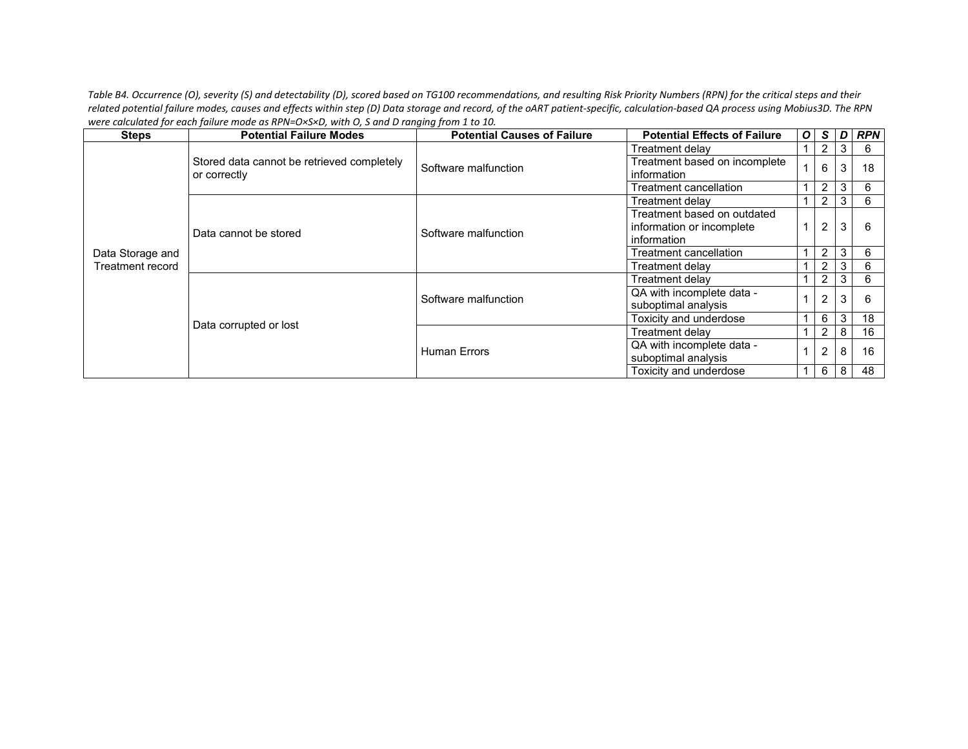*Table B4. Occurrence (O), severity (S) and detectability (D), scored based on TG100 recommendations, and resulting Risk Priority Numbers (RPN) for the critical steps and their related potential failure modes, causes and effects within step (D) Data storage and record, of the oART patient-specific, calculation-based QA process using Mobius3D. The RPN were calculated for each failure mode as RPN=O×S×D, with O, S and D ranging from 1 to 10.*

| <b>Steps</b>     | <b>Potential Failure Modes</b>             | <b>Potential Causes of Failure</b> | <b>Potential Effects of Failure</b> | $\boldsymbol{o}$ | S.             | $\mathbf{D}$ | <b>RPN</b> |
|------------------|--------------------------------------------|------------------------------------|-------------------------------------|------------------|----------------|--------------|------------|
|                  |                                            |                                    | Treatment delay                     |                  | $\overline{2}$ | $\mathbf{3}$ | 6          |
|                  | Stored data cannot be retrieved completely | Software malfunction               | Treatment based on incomplete       |                  | 6              | 3            | 18         |
|                  | or correctly                               |                                    | information                         |                  |                |              |            |
|                  |                                            |                                    | Treatment cancellation              |                  | $\overline{2}$ | 3            | 6          |
|                  |                                            |                                    | Treatment delav                     |                  | $\overline{2}$ | 3            | 6          |
|                  |                                            |                                    | Treatment based on outdated         |                  |                |              |            |
| Data Storage and | Data cannot be stored                      | Software malfunction               | information or incomplete           |                  | $\overline{2}$ | 3            | 6          |
|                  |                                            |                                    | information                         |                  |                |              |            |
|                  |                                            |                                    | Treatment cancellation              |                  | $\overline{2}$ | 3            | 6          |
| Treatment record |                                            |                                    | Treatment delay                     |                  | 2              | 3            | 6          |
|                  |                                            | Software malfunction               | Treatment delay                     |                  | 2              | 3            | 6          |
|                  |                                            |                                    | QA with incomplete data -           |                  | $\overline{2}$ | 3            | 6          |
|                  |                                            |                                    | suboptimal analysis                 |                  |                |              |            |
|                  | Data corrupted or lost                     |                                    | Toxicity and underdose              |                  | 6              | 3            | 18         |
|                  |                                            |                                    | Treatment delav                     |                  | 2              | 8            | 16         |
|                  |                                            | <b>Human Errors</b>                | QA with incomplete data -           |                  | $\overline{2}$ | 8            | 16         |
|                  |                                            |                                    | suboptimal analysis                 |                  |                |              |            |
|                  |                                            |                                    | Toxicity and underdose              |                  | 6              | 8            | 48         |